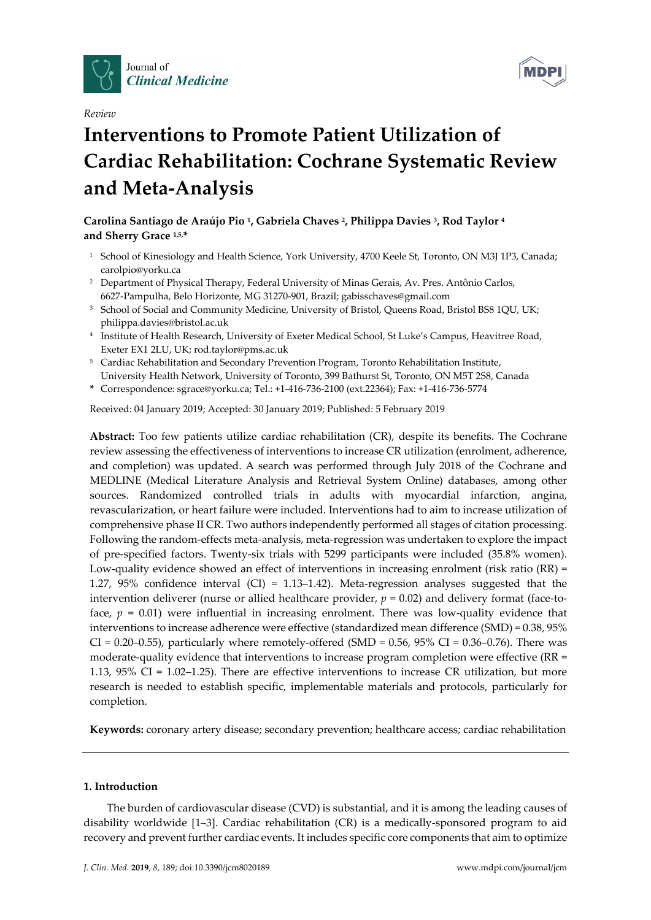





# **Interventions to Promote Patient Utilization of Cardiac Rehabilitation: Cochrane Systematic Review and Meta-Analysis**

**Carolina Santiago de Araújo Pio 1, Gabriela Chaves 2, Philippa Davies 3, Rod Taylor <sup>4</sup> and Sherry Grace 1,5, \*** 

- <sup>1</sup> School of Kinesiology and Health Science, York University, 4700 Keele St, Toronto, ON M3J 1P3, Canada; carolpio@yorku.ca
- <sup>2</sup> Department of Physical Therapy, Federal University of Minas Gerais, Av. Pres. Antônio Carlos, 6627-Pampulha, Belo Horizonte, MG 31270-901, Brazil; gabisschaves@gmail.com
- <sup>3</sup> School of Social and Community Medicine, University of Bristol, Queens Road, Bristol BS8 1QU, UK; philippa.davies@bristol.ac.uk
- <sup>4</sup> Institute of Health Research, University of Exeter Medical School, St Luke's Campus, Heavitree Road, Exeter EX1 2LU, UK; rod.taylor@pms.ac.uk
- <sup>5</sup> Cardiac Rehabilitation and Secondary Prevention Program, Toronto Rehabilitation Institute, University Health Network, University of Toronto, 399 Bathurst St, Toronto, ON M5T 2S8, Canada
- **\*** Correspondence: sgrace@yorku.ca; Tel.: +1-416-736-2100 (ext.22364); Fax: +1-416-736-5774

Received: 04 January 2019; Accepted: 30 January 2019; Published: 5 February 2019

**Abstract:** Too few patients utilize cardiac rehabilitation (CR), despite its benefits. The Cochrane review assessing the effectiveness of interventions to increase CR utilization (enrolment, adherence, and completion) was updated. A search was performed through July 2018 of the Cochrane and MEDLINE (Medical Literature Analysis and Retrieval System Online) databases, among other sources. Randomized controlled trials in adults with myocardial infarction, angina, revascularization, or heart failure were included. Interventions had to aim to increase utilization of comprehensive phase II CR. Two authors independently performed all stages of citation processing. Following the random-effects meta-analysis, meta-regression was undertaken to explore the impact of pre-specified factors. Twenty-six trials with 5299 participants were included (35.8% women). Low-quality evidence showed an effect of interventions in increasing enrolment (risk ratio (RR) = 1.27, 95% confidence interval (CI) = 1.13–1.42). Meta-regression analyses suggested that the intervention deliverer (nurse or allied healthcare provider,  $p = 0.02$ ) and delivery format (face-toface,  $p = 0.01$ ) were influential in increasing enrolment. There was low-quality evidence that interventions to increase adherence were effective (standardized mean difference (SMD) = 0.38, 95%  $CI = 0.20-0.55$ ), particularly where remotely-offered (SMD = 0.56, 95% CI = 0.36-0.76). There was moderate-quality evidence that interventions to increase program completion were effective (RR = 1.13, 95% CI = 1.02–1.25). There are effective interventions to increase CR utilization, but more research is needed to establish specific, implementable materials and protocols, particularly for completion.

**Keywords:** coronary artery disease; secondary prevention; healthcare access; cardiac rehabilitation

# **1. Introduction**

The burden of cardiovascular disease (CVD) is substantial, and it is among the leading causes of disability worldwide [1–3]. Cardiac rehabilitation (CR) is a medically-sponsored program to aid recovery and prevent further cardiac events. It includes specific core components that aim to optimize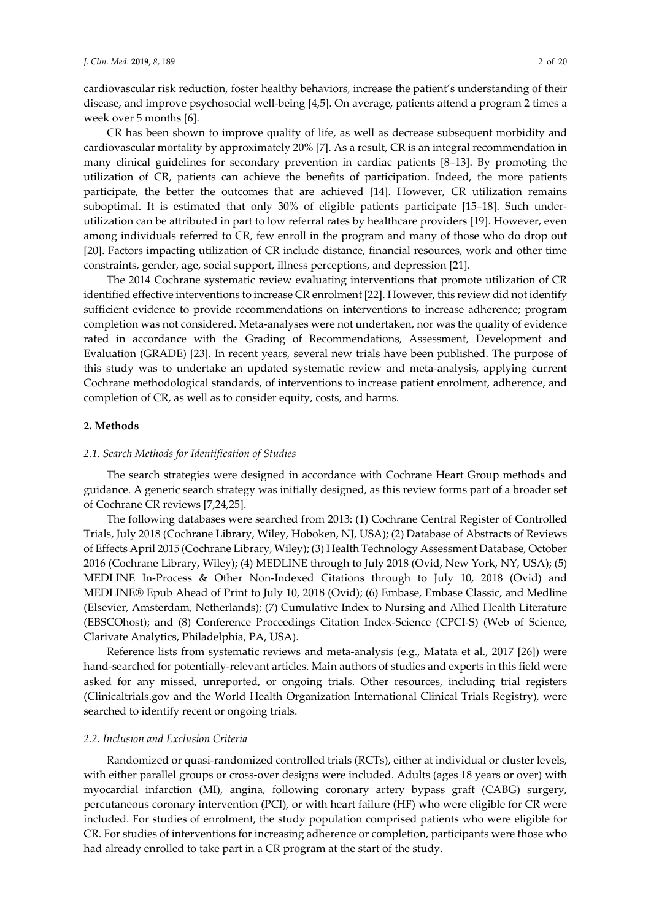cardiovascular risk reduction, foster healthy behaviors, increase the patient's understanding of their disease, and improve psychosocial well-being [4,5]. On average, patients attend a program 2 times a week over 5 months [6].

CR has been shown to improve quality of life, as well as decrease subsequent morbidity and cardiovascular mortality by approximately 20% [7]. As a result, CR is an integral recommendation in many clinical guidelines for secondary prevention in cardiac patients [8–13]. By promoting the utilization of CR, patients can achieve the benefits of participation. Indeed, the more patients participate, the better the outcomes that are achieved [14]. However, CR utilization remains suboptimal. It is estimated that only 30% of eligible patients participate [15–18]. Such underutilization can be attributed in part to low referral rates by healthcare providers [19]. However, even among individuals referred to CR, few enroll in the program and many of those who do drop out [20]. Factors impacting utilization of CR include distance, financial resources, work and other time constraints, gender, age, social support, illness perceptions, and depression [21].

The 2014 Cochrane systematic review evaluating interventions that promote utilization of CR identified effective interventions to increase CR enrolment [22]. However, this review did not identify sufficient evidence to provide recommendations on interventions to increase adherence; program completion was not considered. Meta-analyses were not undertaken, nor was the quality of evidence rated in accordance with the Grading of Recommendations, Assessment, Development and Evaluation (GRADE) [23]. In recent years, several new trials have been published. The purpose of this study was to undertake an updated systematic review and meta-analysis, applying current Cochrane methodological standards, of interventions to increase patient enrolment, adherence, and completion of CR, as well as to consider equity, costs, and harms.

## **2. Methods**

#### *2.1. Search Methods for Identification of Studies*

The search strategies were designed in accordance with Cochrane Heart Group methods and guidance. A generic search strategy was initially designed, as this review forms part of a broader set of Cochrane CR reviews [7,24,25].

The following databases were searched from 2013: (1) Cochrane Central Register of Controlled Trials, July 2018 (Cochrane Library, Wiley, Hoboken, NJ, USA); (2) Database of Abstracts of Reviews of Effects April 2015 (Cochrane Library, Wiley); (3) Health Technology Assessment Database, October 2016 (Cochrane Library, Wiley); (4) MEDLINE through to July 2018 (Ovid, New York, NY, USA); (5) MEDLINE In-Process & Other Non-Indexed Citations through to July 10, 2018 (Ovid) and MEDLINE® Epub Ahead of Print to July 10, 2018 (Ovid); (6) Embase, Embase Classic, and Medline (Elsevier, Amsterdam, Netherlands); (7) Cumulative Index to Nursing and Allied Health Literature (EBSCOhost); and (8) Conference Proceedings Citation Index-Science (CPCI-S) (Web of Science, Clarivate Analytics, Philadelphia, PA, USA).

Reference lists from systematic reviews and meta-analysis (e.g., Matata et al., 2017 [26]) were hand-searched for potentially-relevant articles. Main authors of studies and experts in this field were asked for any missed, unreported, or ongoing trials. Other resources, including trial registers (Clinicaltrials.gov and the World Health Organization International Clinical Trials Registry), were searched to identify recent or ongoing trials.

#### *2.2. Inclusion and Exclusion Criteria*

Randomized or quasi-randomized controlled trials (RCTs), either at individual or cluster levels, with either parallel groups or cross-over designs were included. Adults (ages 18 years or over) with myocardial infarction (MI), angina, following coronary artery bypass graft (CABG) surgery, percutaneous coronary intervention (PCI), or with heart failure (HF) who were eligible for CR were included. For studies of enrolment, the study population comprised patients who were eligible for CR. For studies of interventions for increasing adherence or completion, participants were those who had already enrolled to take part in a CR program at the start of the study.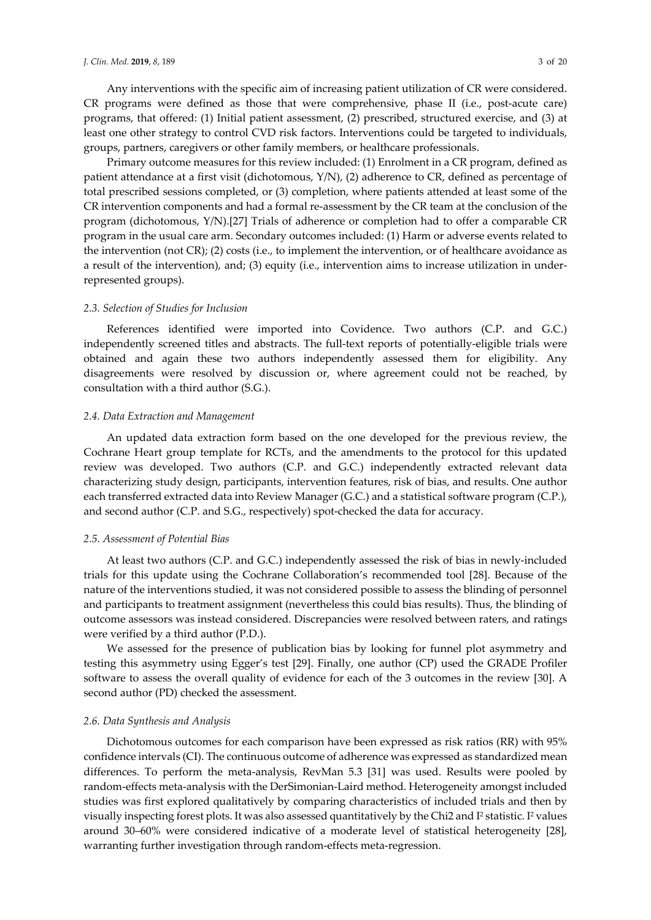Any interventions with the specific aim of increasing patient utilization of CR were considered. CR programs were defined as those that were comprehensive, phase II (i.e., post-acute care) programs, that offered: (1) Initial patient assessment, (2) prescribed, structured exercise, and (3) at least one other strategy to control CVD risk factors. Interventions could be targeted to individuals, groups, partners, caregivers or other family members, or healthcare professionals.

Primary outcome measures for this review included: (1) Enrolment in a CR program, defined as patient attendance at a first visit (dichotomous, Y/N), (2) adherence to CR, defined as percentage of total prescribed sessions completed, or (3) completion, where patients attended at least some of the CR intervention components and had a formal re-assessment by the CR team at the conclusion of the program (dichotomous, Y/N).[27] Trials of adherence or completion had to offer a comparable CR program in the usual care arm. Secondary outcomes included: (1) Harm or adverse events related to the intervention (not CR); (2) costs (i.e., to implement the intervention, or of healthcare avoidance as a result of the intervention), and; (3) equity (i.e., intervention aims to increase utilization in underrepresented groups).

## *2.3. Selection of Studies for Inclusion*

References identified were imported into Covidence. Two authors (C.P. and G.C.) independently screened titles and abstracts. The full-text reports of potentially-eligible trials were obtained and again these two authors independently assessed them for eligibility. Any disagreements were resolved by discussion or, where agreement could not be reached, by consultation with a third author (S.G.).

#### *2.4. Data Extraction and Management*

An updated data extraction form based on the one developed for the previous review, the Cochrane Heart group template for RCTs, and the amendments to the protocol for this updated review was developed. Two authors (C.P. and G.C.) independently extracted relevant data characterizing study design, participants, intervention features, risk of bias, and results. One author each transferred extracted data into Review Manager (G.C.) and a statistical software program (C.P.), and second author (C.P. and S.G., respectively) spot-checked the data for accuracy.

## *2.5. Assessment of Potential Bias*

At least two authors (C.P. and G.C.) independently assessed the risk of bias in newly-included trials for this update using the Cochrane Collaboration's recommended tool [28]. Because of the nature of the interventions studied, it was not considered possible to assess the blinding of personnel and participants to treatment assignment (nevertheless this could bias results). Thus, the blinding of outcome assessors was instead considered. Discrepancies were resolved between raters, and ratings were verified by a third author (P.D.).

We assessed for the presence of publication bias by looking for funnel plot asymmetry and testing this asymmetry using Egger's test [29]. Finally, one author (CP) used the GRADE Profiler software to assess the overall quality of evidence for each of the 3 outcomes in the review [30]. A second author (PD) checked the assessment.

## *2.6. Data Synthesis and Analysis*

Dichotomous outcomes for each comparison have been expressed as risk ratios (RR) with 95% confidence intervals (CI). The continuous outcome of adherence was expressed as standardized mean differences. To perform the meta-analysis, RevMan 5.3 [31] was used. Results were pooled by random-effects meta-analysis with the DerSimonian-Laird method. Heterogeneity amongst included studies was first explored qualitatively by comparing characteristics of included trials and then by visually inspecting forest plots. It was also assessed quantitatively by the Chi2 and I2 statistic. I2 values around 30–60% were considered indicative of a moderate level of statistical heterogeneity [28], warranting further investigation through random-effects meta-regression.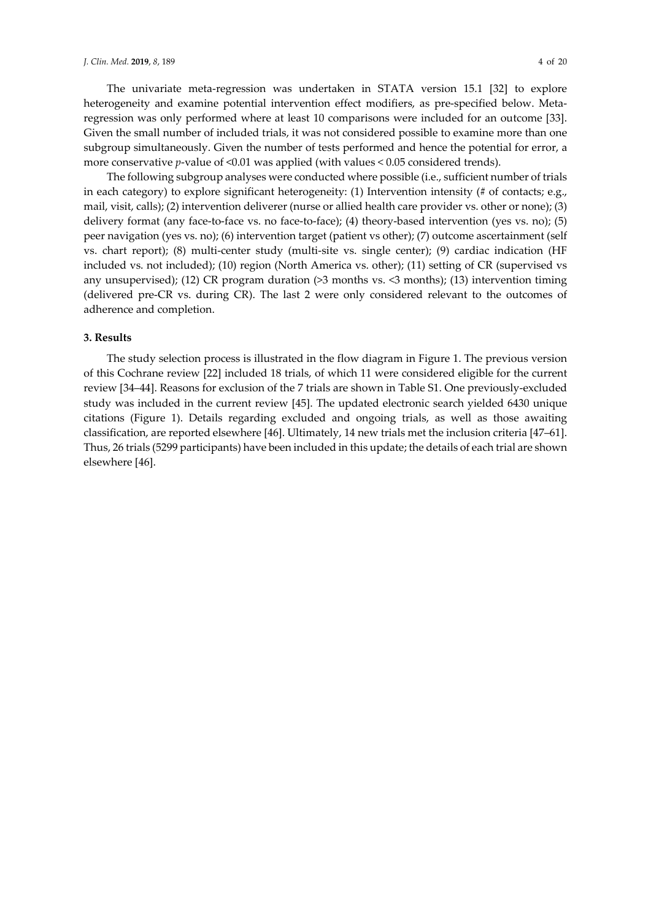The univariate meta-regression was undertaken in STATA version 15.1 [32] to explore heterogeneity and examine potential intervention effect modifiers, as pre-specified below. Metaregression was only performed where at least 10 comparisons were included for an outcome [33]. Given the small number of included trials, it was not considered possible to examine more than one subgroup simultaneously. Given the number of tests performed and hence the potential for error, a more conservative *p*-value of <0.01 was applied (with values < 0.05 considered trends).

The following subgroup analyses were conducted where possible (i.e., sufficient number of trials in each category) to explore significant heterogeneity: (1) Intervention intensity (# of contacts; e.g., mail, visit, calls); (2) intervention deliverer (nurse or allied health care provider vs. other or none); (3) delivery format (any face-to-face vs. no face-to-face); (4) theory-based intervention (yes vs. no); (5) peer navigation (yes vs. no); (6) intervention target (patient vs other); (7) outcome ascertainment (self vs. chart report); (8) multi-center study (multi-site vs. single center); (9) cardiac indication (HF included vs. not included); (10) region (North America vs. other); (11) setting of CR (supervised vs any unsupervised); (12) CR program duration (>3 months vs. <3 months); (13) intervention timing (delivered pre-CR vs. during CR). The last 2 were only considered relevant to the outcomes of adherence and completion.

## **3. Results**

The study selection process is illustrated in the flow diagram in Figure 1. The previous version of this Cochrane review [22] included 18 trials, of which 11 were considered eligible for the current review [34–44]. Reasons for exclusion of the 7 trials are shown in Table S1. One previously-excluded study was included in the current review [45]. The updated electronic search yielded 6430 unique citations (Figure 1). Details regarding excluded and ongoing trials, as well as those awaiting classification, are reported elsewhere [46]. Ultimately, 14 new trials met the inclusion criteria [47–61]. Thus, 26 trials (5299 participants) have been included in this update; the details of each trial are shown elsewhere [46].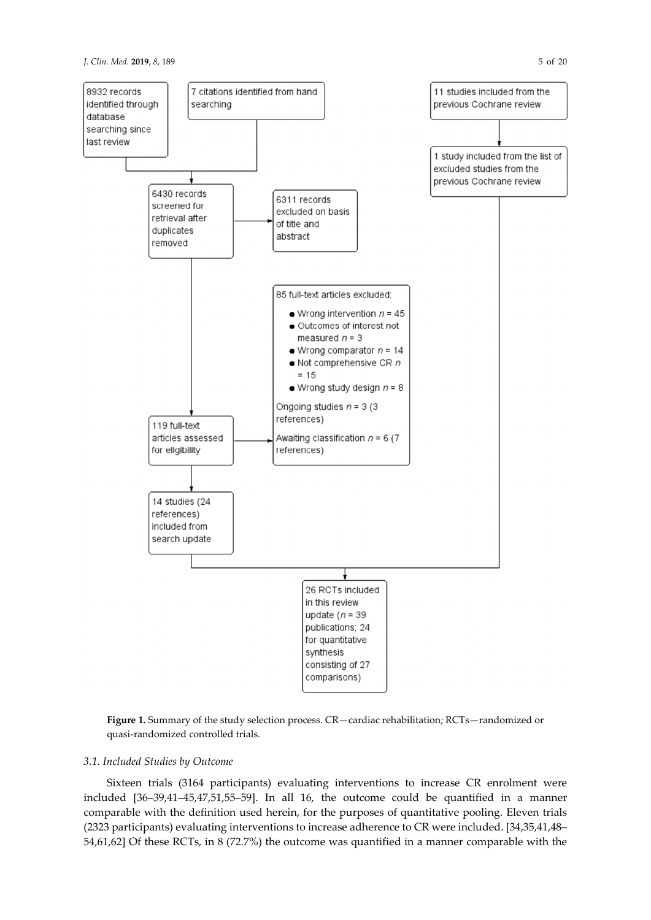

**Figure 1.** Summary of the study selection process. CR—cardiac rehabilitation; RCTs—randomized or quasi-randomized controlled trials.

# *3.1. Included Studies by Outcome*

Sixteen trials (3164 participants) evaluating interventions to increase CR enrolment were included [36–39,41–45,47,51,55–59]. In all 16, the outcome could be quantified in a manner comparable with the definition used herein, for the purposes of quantitative pooling. Eleven trials (2323 participants) evaluating interventions to increase adherence to CR were included. [34,35,41,48– 54,61,62] Of these RCTs, in 8 (72.7%) the outcome was quantified in a manner comparable with the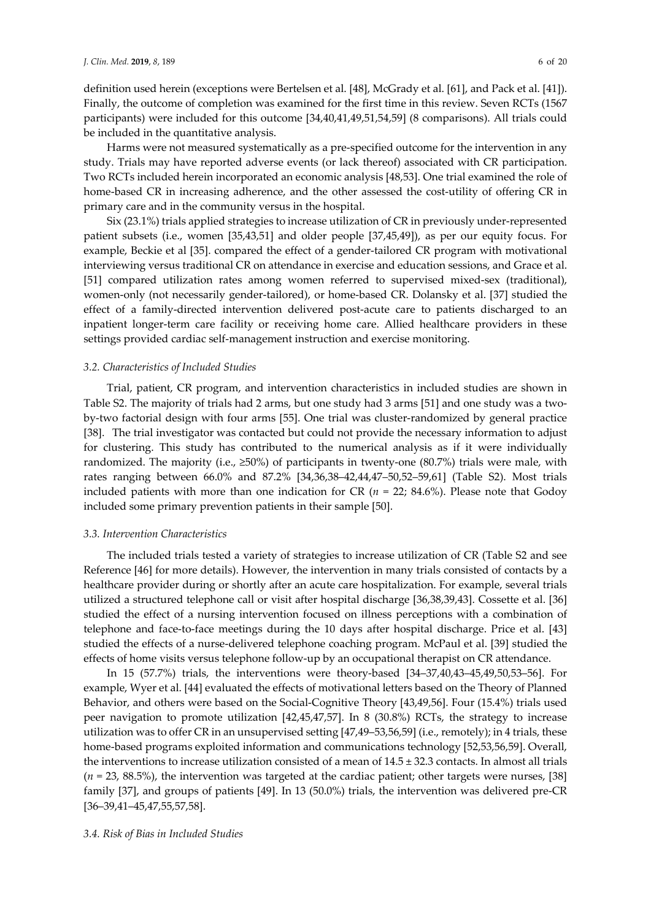definition used herein (exceptions were Bertelsen et al. [48], McGrady et al. [61], and Pack et al. [41]). Finally, the outcome of completion was examined for the first time in this review. Seven RCTs (1567 participants) were included for this outcome [34,40,41,49,51,54,59] (8 comparisons). All trials could be included in the quantitative analysis.

Harms were not measured systematically as a pre-specified outcome for the intervention in any study. Trials may have reported adverse events (or lack thereof) associated with CR participation. Two RCTs included herein incorporated an economic analysis [48,53]. One trial examined the role of home-based CR in increasing adherence, and the other assessed the cost-utility of offering CR in primary care and in the community versus in the hospital.

Six (23.1%) trials applied strategies to increase utilization of CR in previously under-represented patient subsets (i.e., women [35,43,51] and older people [37,45,49]), as per our equity focus. For example, Beckie et al [35]. compared the effect of a gender-tailored CR program with motivational interviewing versus traditional CR on attendance in exercise and education sessions, and Grace et al. [51] compared utilization rates among women referred to supervised mixed-sex (traditional), women-only (not necessarily gender-tailored), or home-based CR. Dolansky et al. [37] studied the effect of a family-directed intervention delivered post-acute care to patients discharged to an inpatient longer-term care facility or receiving home care. Allied healthcare providers in these settings provided cardiac self-management instruction and exercise monitoring.

#### *3.2. Characteristics of Included Studies*

Trial, patient, CR program, and intervention characteristics in included studies are shown in Table S2. The majority of trials had 2 arms, but one study had 3 arms [51] and one study was a twoby-two factorial design with four arms [55]. One trial was cluster-randomized by general practice [38]. The trial investigator was contacted but could not provide the necessary information to adjust for clustering. This study has contributed to the numerical analysis as if it were individually randomized. The majority (i.e.,  $\geq 50\%$ ) of participants in twenty-one (80.7%) trials were male, with rates ranging between 66.0% and 87.2% [34,36,38–42,44,47–50,52–59,61] (Table S2). Most trials included patients with more than one indication for  $CR$  ( $n = 22$ ; 84.6%). Please note that Godoy included some primary prevention patients in their sample [50].

## *3.3. Intervention Characteristics*

The included trials tested a variety of strategies to increase utilization of CR (Table S2 and see Reference [46] for more details). However, the intervention in many trials consisted of contacts by a healthcare provider during or shortly after an acute care hospitalization. For example, several trials utilized a structured telephone call or visit after hospital discharge [36,38,39,43]. Cossette et al. [36] studied the effect of a nursing intervention focused on illness perceptions with a combination of telephone and face-to-face meetings during the 10 days after hospital discharge. Price et al. [43] studied the effects of a nurse-delivered telephone coaching program. McPaul et al. [39] studied the effects of home visits versus telephone follow-up by an occupational therapist on CR attendance.

In 15 (57.7%) trials, the interventions were theory-based [34–37,40,43–45,49,50,53–56]. For example, Wyer et al. [44] evaluated the effects of motivational letters based on the Theory of Planned Behavior, and others were based on the Social-Cognitive Theory [43,49,56]. Four (15.4%) trials used peer navigation to promote utilization [42,45,47,57]. In 8 (30.8%) RCTs, the strategy to increase utilization was to offer CR in an unsupervised setting [47,49–53,56,59] (i.e., remotely); in 4 trials, these home-based programs exploited information and communications technology [52,53,56,59]. Overall, the interventions to increase utilization consisted of a mean of  $14.5 \pm 32.3$  contacts. In almost all trials  $(n = 23, 88.5\%)$ , the intervention was targeted at the cardiac patient; other targets were nurses, [38] family [37], and groups of patients [49]. In 13 (50.0%) trials, the intervention was delivered pre-CR [36–39,41–45,47,55,57,58].

#### *3.4. Risk of Bias in Included Studies*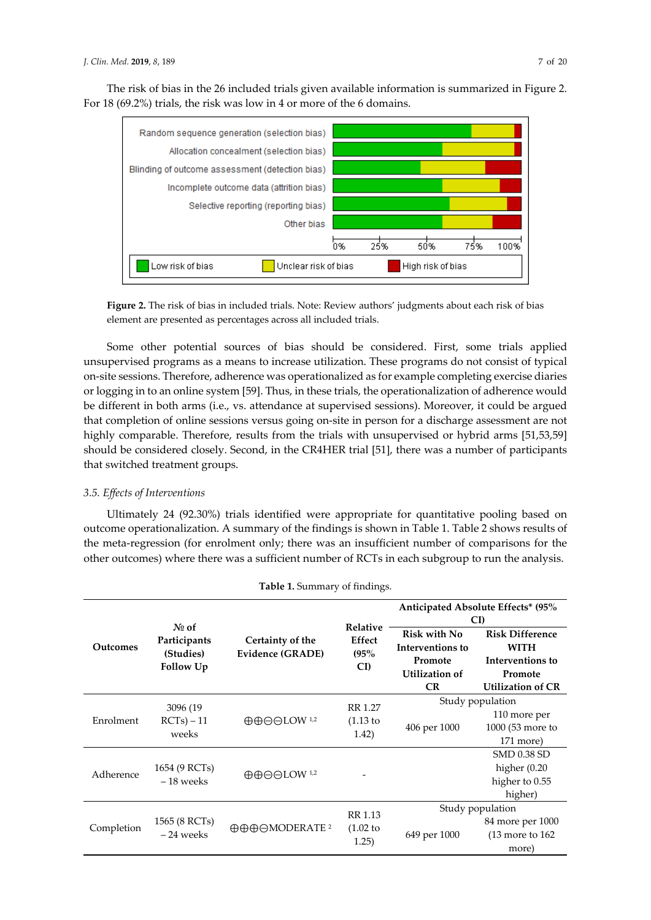The risk of bias in the 26 included trials given available information is summarized in Figure 2. For 18 (69.2%) trials, the risk was low in 4 or more of the 6 domains.

![](_page_6_Figure_2.jpeg)

**Figure 2.** The risk of bias in included trials. Note: Review authors' judgments about each risk of bias element are presented as percentages across all included trials.

Some other potential sources of bias should be considered. First, some trials applied unsupervised programs as a means to increase utilization. These programs do not consist of typical on-site sessions. Therefore, adherence was operationalized as for example completing exercise diaries or logging in to an online system [59]. Thus, in these trials, the operationalization of adherence would be different in both arms (i.e., vs. attendance at supervised sessions). Moreover, it could be argued that completion of online sessions versus going on-site in person for a discharge assessment are not highly comparable. Therefore, results from the trials with unsupervised or hybrid arms [51,53,59] should be considered closely. Second, in the CR4HER trial [51], there was a number of participants that switched treatment groups.

## *3.5. Effects of Interventions*

Ultimately 24 (92.30%) trials identified were appropriate for quantitative pooling based on outcome operationalization. A summary of the findings is shown in Table 1. Table 2 shows results of the meta-regression (for enrolment only; there was an insufficient number of comparisons for the other outcomes) where there was a sufficient number of RCTs in each subgroup to run the analysis.

|                 |                                        | <b>rapie 1.</b> Duminary or intentigs.             |                                        |                                                                            |                                                                                                  |  |  |
|-----------------|----------------------------------------|----------------------------------------------------|----------------------------------------|----------------------------------------------------------------------------|--------------------------------------------------------------------------------------------------|--|--|
|                 | $N2$ of                                |                                                    | <b>Relative</b>                        | Anticipated Absolute Effects* (95%<br>CI)                                  |                                                                                                  |  |  |
| <b>Outcomes</b> | Participants<br>(Studies)<br>Follow Up | Certainty of the<br><b>Evidence (GRADE)</b>        | <b>Effect</b><br>(95%<br>CI)           | Risk with No<br>Interventions to<br>Promote<br>Utilization of<br><b>CR</b> | <b>Risk Difference</b><br><b>WITH</b><br>Interventions to<br>Promote<br><b>Utilization of CR</b> |  |  |
| Enrolment       | 3096 (19)<br>$RCTs - 11$<br>weeks      | $\oplus \oplus \ominus \ominus$ LOW <sup>1,2</sup> | RR 1.27<br>$(1.13)$ to<br>1.42)        | 406 per 1000                                                               | Study population<br>110 more per<br>1000 (53 more to<br>$171$ more)                              |  |  |
| Adherence       | 1654 (9 RCTs)<br>-18 weeks             | $\oplus \oplus \ominus \ominus$ LOW 1,2            |                                        |                                                                            | <b>SMD 0.38 SD</b><br>higher $(0.20)$<br>higher to 0.55<br>higher)                               |  |  |
| Completion      | 1565 (8 RCTs)<br>-24 weeks             | <b>⊕⊕⊕⊝MODERATE</b> <sup>2</sup>                   | <b>RR 1.13</b><br>$(1.02)$ to<br>1.25) | 649 per 1000                                                               | Study population<br>84 more per 1000<br>$(13$ more to $162$<br>more)                             |  |  |

**Table 1.** Summary of findings.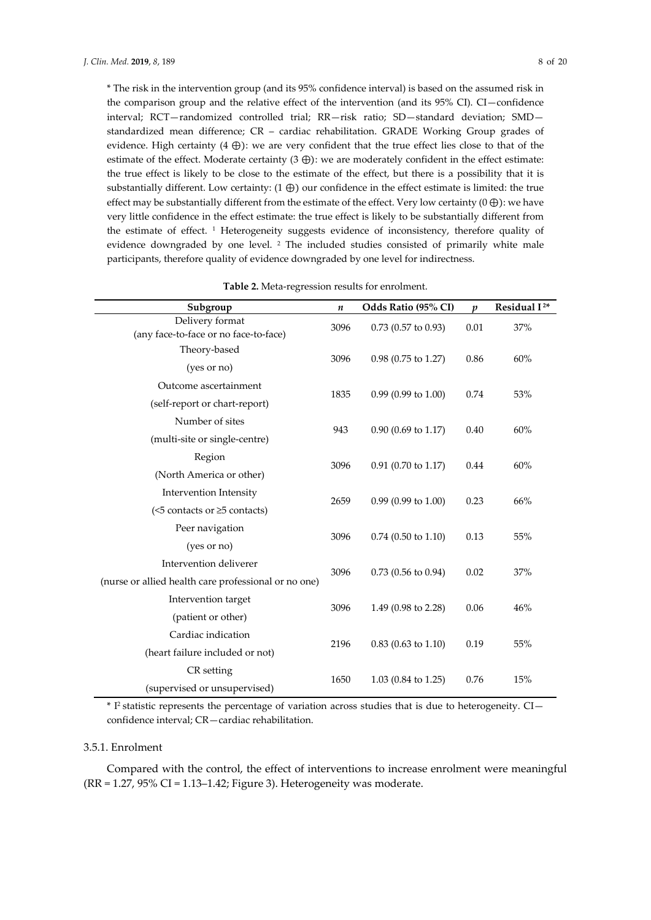\* The risk in the intervention group (and its 95% confidence interval) is based on the assumed risk in the comparison group and the relative effect of the intervention (and its 95% CI). CI—confidence interval; RCT—randomized controlled trial; RR—risk ratio; SD—standard deviation; SMD standardized mean difference; CR – cardiac rehabilitation. GRADE Working Group grades of evidence. High certainty (4 ⊕): we are very confident that the true effect lies close to that of the estimate of the effect. Moderate certainty  $(3 \oplus)$ : we are moderately confident in the effect estimate: the true effect is likely to be close to the estimate of the effect, but there is a possibility that it is substantially different. Low certainty:  $(1 \oplus)$  our confidence in the effect estimate is limited: the true effect may be substantially different from the estimate of the effect. Very low certainty  $(0 \oplus)$ : we have very little confidence in the effect estimate: the true effect is likely to be substantially different from the estimate of effect.<sup>1</sup> Heterogeneity suggests evidence of inconsistency, therefore quality of evidence downgraded by one level. <sup>2</sup> The included studies consisted of primarily white male participants, therefore quality of evidence downgraded by one level for indirectness.

| Subgroup                                                 | $\boldsymbol{n}$ | Odds Ratio (95% CI)           | $\boldsymbol{p}$ | Residual I <sup>2*</sup> |  |
|----------------------------------------------------------|------------------|-------------------------------|------------------|--------------------------|--|
| Delivery format<br>(any face-to-face or no face-to-face) | 3096             | $0.73$ (0.57 to 0.93)         | 0.01             | 37%                      |  |
| Theory-based                                             |                  |                               |                  |                          |  |
| (yes or no)                                              | 3096             | 0.98 (0.75 to 1.27)           | 0.86             | 60%                      |  |
| Outcome ascertainment                                    |                  |                               |                  |                          |  |
| (self-report or chart-report)                            | 1835             | 0.99 (0.99 to 1.00)           | 0.74             | 53%                      |  |
| Number of sites                                          |                  |                               |                  |                          |  |
| (multi-site or single-centre)                            | 943              | $0.90$ (0.69 to 1.17)         | 0.40             | 60%                      |  |
| Region                                                   | 3096             | 0.91 (0.70 to 1.17)           | 0.44             | 60%                      |  |
| (North America or other)                                 |                  |                               |                  |                          |  |
| Intervention Intensity                                   |                  |                               | 0.23             | 66%                      |  |
| ( $5$ contacts or $\geq 5$ contacts)                     | 2659             | $0.99(0.99 \text{ to } 1.00)$ |                  |                          |  |
| Peer navigation                                          |                  |                               | 0.13             |                          |  |
| (yes or no)                                              | 3096             | $0.74$ (0.50 to 1.10)         |                  | 55%                      |  |
| Intervention deliverer                                   |                  |                               |                  |                          |  |
| (nurse or allied health care professional or no one)     | 3096             | $0.73$ (0.56 to 0.94)         | 0.02             | 37%                      |  |
| Intervention target                                      |                  |                               |                  | 46%                      |  |
| (patient or other)                                       | 3096             | 1.49 (0.98 to 2.28)           | 0.06             |                          |  |
| Cardiac indication                                       |                  |                               |                  | 55%                      |  |
| (heart failure included or not)                          | 2196             | $0.83$ (0.63 to 1.10)         | 0.19             |                          |  |
| CR setting                                               |                  |                               |                  | 15%                      |  |
| (supervised or unsupervised)                             | 1650             | $1.03$ (0.84 to 1.25)         | 0.76             |                          |  |

|  |  |  | <b>Table 2.</b> Meta-regression results for enrolment. |  |  |  |  |
|--|--|--|--------------------------------------------------------|--|--|--|--|
|--|--|--|--------------------------------------------------------|--|--|--|--|

\* I2 statistic represents the percentage of variation across studies that is due to heterogeneity. CI confidence interval; CR—cardiac rehabilitation.

# 3.5.1. Enrolment

Compared with the control, the effect of interventions to increase enrolment were meaningful (RR = 1.27, 95% CI = 1.13–1.42; Figure 3). Heterogeneity was moderate.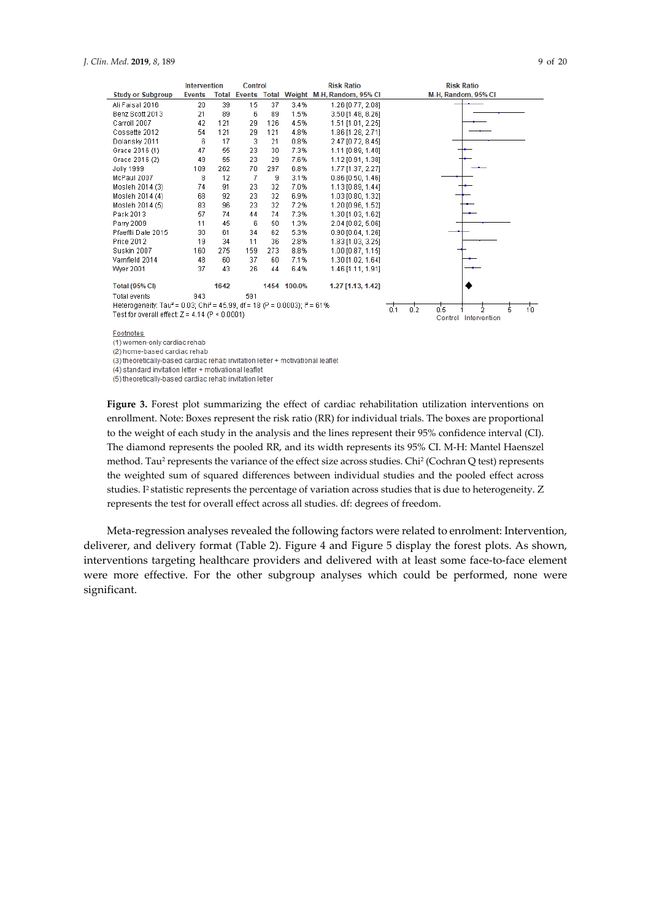|                                                                                                              | <b>Intervention</b> |              | <b>Control</b> |     |             | <b>Risk Ratio</b>                       | <b>Risk Ratio</b>                   |
|--------------------------------------------------------------------------------------------------------------|---------------------|--------------|----------------|-----|-------------|-----------------------------------------|-------------------------------------|
| <b>Study or Subgroup</b>                                                                                     | <b>Events</b>       | <b>Total</b> |                |     |             | Events Total Weight M-H, Random, 95% CI | M-H, Random, 95% CI                 |
| Ali Faisal 2016                                                                                              | 20                  | 39           | 15             | 37  | 3.4%        | 1.26 [0.77, 2.08]                       |                                     |
| Benz Scott 2013                                                                                              | 21                  | 89           | 6              | 89  | 1.5%        | 3.50 [1.48, 8.26]                       |                                     |
| Carroll 2007                                                                                                 | 42                  | 121          | 29             | 126 | 4.5%        | 1.51 [1.01, 2.25]                       |                                     |
| Cossette 2012                                                                                                | 54                  | 121          | 29             | 121 | 4.8%        | 1.86 [1.28, 2.71]                       |                                     |
| Dolansky 2011                                                                                                | 6                   | 17           | 3              | 21  | 0.8%        | 2.47 [0.72, 8.45]                       |                                     |
| Grace 2016 (1)                                                                                               | 47                  | 55           | 23             | 30  | 7.3%        | 1.11 [0.89, 1.40]                       |                                     |
| Grace 2016 (2)                                                                                               | 49                  | 55           | 23             | 29  | 7.6%        | 1.12 [0.91, 1.38]                       |                                     |
| Jolly 1999                                                                                                   | 109                 | 262          | 70             | 297 | 6.8%        | 1.77 [1.37, 2.27]                       |                                     |
| McPaul 2007                                                                                                  | 8                   | 12           | 7              | 9   | 3.1%        | $0.86$ [0.50, 1.46]                     |                                     |
| Mosleh 2014 (3)                                                                                              | 74                  | 91           | 23             | 32  | 7.0%        | 1.13 [0.89, 1.44]                       |                                     |
| Mosleh 2014 (4)                                                                                              | 68                  | 92           | 23             | 32  | 6.9%        | 1.03 [0.80, 1.32]                       |                                     |
| Mosleh 2014 (5)                                                                                              | 83                  | 96           | 23             | 32  | 7.2%        | 1.20 [0.96, 1.52]                       |                                     |
| Pack 2013                                                                                                    | 57                  | 74           | 44             | 74  | 7.3%        | 1.30 [1.03, 1.62]                       |                                     |
| Parry 2009                                                                                                   | 11                  | 45           | 6              | 50  | 1.3%        | 2.04 [0.82, 5.06]                       |                                     |
| Pfaeffli Dale 2015                                                                                           | 30                  | 61           | 34             | 62  | 5.3%        | 0.90 [0.64, 1.26]                       |                                     |
| Price 2012                                                                                                   | 19                  | 34           | 11             | 36  | 2.8%        | 1.83 [1.03, 3.25]                       |                                     |
| Suskin 2007                                                                                                  | 160                 | 275          | 159            | 273 | 8.8%        | 1.00 [0.87, 1.15]                       |                                     |
| Varnfield 2014                                                                                               | 48                  | 60           | 37             | 60  | 7.1%        | 1.30 [1.02, 1.64]                       |                                     |
| Wyer 2001                                                                                                    | 37                  | 43           | 26             | 44  | 6.4%        | 1.46 [1.11, 1.91]                       |                                     |
| <b>Total (95% CI)</b>                                                                                        |                     | 1642         |                |     | 1454 100.0% | 1.27 [1.13, 1.42]                       |                                     |
| Total events                                                                                                 | 943                 |              | 591            |     |             |                                         |                                     |
| Heterogeneity: Tau <sup>2</sup> = 0.03; Chi <sup>2</sup> = 45.99, df = 18 (P = 0.0003); i <sup>2</sup> = 61% |                     |              |                |     |             |                                         | 10<br>0.5<br>0.2<br>0.1<br>ż.<br>ĥ. |
| Test for overall effect: $Z = 4.14$ (P < 0.0001)                                                             |                     |              |                |     |             |                                         | Control<br>Intervention             |
|                                                                                                              |                     |              |                |     |             |                                         |                                     |

Footnotes

(1) women-only cardiac rehab

(2) home-based cardiac rehab

(3) theoretically-based cardiac rehab invitation letter + motivational leaflet

(4) standard invitation letter + motivational leaflet

(5) theoretically-based cardiac rehab invitation letter

**Figure 3.** Forest plot summarizing the effect of cardiac rehabilitation utilization interventions on enrollment. Note: Boxes represent the risk ratio (RR) for individual trials. The boxes are proportional to the weight of each study in the analysis and the lines represent their 95% confidence interval (CI). The diamond represents the pooled RR, and its width represents its 95% CI. M-H: Mantel Haenszel method. Tau<sup>2</sup> represents the variance of the effect size across studies. Chi<sup>2</sup> (Cochran Q test) represents the weighted sum of squared differences between individual studies and the pooled effect across studies. I<sup>2</sup> statistic represents the percentage of variation across studies that is due to heterogeneity. Z represents the test for overall effect across all studies. df: degrees of freedom.

Meta-regression analyses revealed the following factors were related to enrolment: Intervention, deliverer, and delivery format (Table 2). Figure 4 and Figure 5 display the forest plots. As shown, interventions targeting healthcare providers and delivered with at least some face-to-face element were more effective. For the other subgroup analyses which could be performed, none were significant.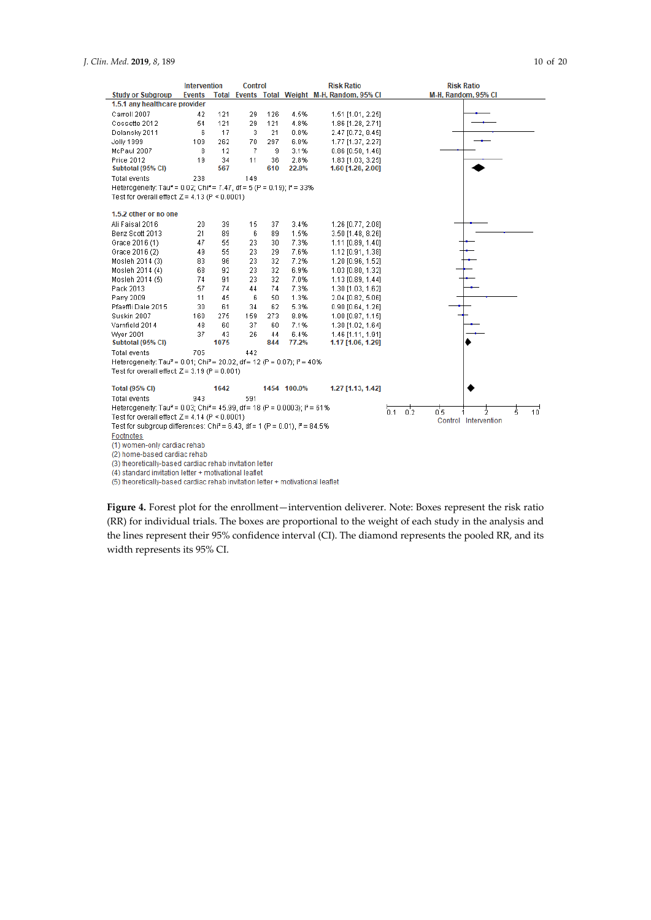|                                                                                                          | <b>Intervention</b> |      | <b>Control</b> |     |             | <b>Risk Ratio</b>                             |                         | <b>Risk Ratio</b>           |   |                 |
|----------------------------------------------------------------------------------------------------------|---------------------|------|----------------|-----|-------------|-----------------------------------------------|-------------------------|-----------------------------|---|-----------------|
| <b>Study or Subgroup</b>                                                                                 | <b>Events</b>       |      |                |     |             | Total Events Total Weight M-H, Random, 95% CI |                         | M-H, Random, 95% CI         |   |                 |
| 1.5.1 any healthcare provider                                                                            |                     |      |                |     |             |                                               |                         |                             |   |                 |
| Carroll 2007                                                                                             | 42                  | 121  | 29             | 126 | 4.5%        | 1.51 [1.01, 2.25]                             |                         |                             |   |                 |
| Cossette 2012                                                                                            | 54                  | 121  | 29             | 121 | 4.8%        | 1.86 [1.28, 2.71]                             |                         |                             |   |                 |
| Dolansky 2011                                                                                            | 6                   | 17   | 3              | 21  | 0.8%        | 2.47 [0.72, 8.45]                             |                         |                             |   |                 |
| <b>Jolly 1999</b>                                                                                        | 109                 | 262  | 70             | 297 | 6.8%        | 1.77 [1.37, 2.27]                             |                         |                             |   |                 |
| McPaul 2007                                                                                              | 8                   | 12   | 7              | 9   | 3.1%        | $0.86$ [0.50, 1.46]                           |                         |                             |   |                 |
| Price 2012                                                                                               | 19                  | 34   | 11             | 36  | 2.8%        | 1.83 [1.03, 3.25]                             |                         |                             |   |                 |
| Subtotal (95% CI)                                                                                        |                     | 567  |                | 610 | 22.8%       | 1.60 [1.28, 2.00]                             |                         |                             |   |                 |
| <b>Total events</b>                                                                                      | 238                 |      | 149            |     |             |                                               |                         |                             |   |                 |
| Heterogeneity: Tau <sup>2</sup> = 0.02; Chi <sup>2</sup> = 7.47, df = 5 (P = 0.19); l <sup>2</sup> = 33% |                     |      |                |     |             |                                               |                         |                             |   |                 |
| Test for overall effect: $Z = 4.13$ (P < 0.0001)                                                         |                     |      |                |     |             |                                               |                         |                             |   |                 |
|                                                                                                          |                     |      |                |     |             |                                               |                         |                             |   |                 |
| 1.5.2 other or no one                                                                                    |                     |      |                |     |             |                                               |                         |                             |   |                 |
| Ali Faisal 2016                                                                                          | 20                  | 39   | 15             | 37  | 3.4%        | 1.26 [0.77, 2.08]                             |                         |                             |   |                 |
| Benz Scott 2013                                                                                          | 21                  | 89   | 6              | 89  | 1.5%        | 3.50 [1.48, 8.26]                             |                         |                             |   |                 |
| Grace 2016 (1)                                                                                           | 47                  | 55   | 23             | 30  | 7.3%        | 1.11 [0.89, 1.40]                             |                         |                             |   |                 |
| Grace 2016 (2)                                                                                           | 49                  | 55   | 23             | 29  | 7.6%        | 1.12 [0.91, 1.38]                             |                         |                             |   |                 |
| Mosleh 2014 (3)                                                                                          | 83                  | 96   | 23             | 32  | 7.2%        | 1.20 [0.96, 1.52]                             |                         |                             |   |                 |
| Mosleh 2014 (4)                                                                                          | 68                  | 92   | 23             | 32  | 6.9%        | 1.03 [0.80, 1.32]                             |                         |                             |   |                 |
| Mosleh 2014 (5)                                                                                          | 74                  | 91   | 23             | 32  | 7.0%        | 1.13 [0.89, 1.44]                             |                         |                             |   |                 |
| Pack 2013                                                                                                | 57                  | 74   | 44             | 74  | 7.3%        | 1.30 [1.03, 1.62]                             |                         |                             |   |                 |
| Parry 2009                                                                                               | 11                  | 45   | 6              | 50  | 1.3%        | 2.04 [0.82, 5.06]                             |                         |                             |   |                 |
| Pfaeffli Dale 2015                                                                                       | 30                  | 61   | 34             | 62  | 5.3%        | 0.90 [0.64, 1.26]                             |                         |                             |   |                 |
| Suskin 2007                                                                                              | 160                 | 275  | 159            | 273 | 8.8%        | 1.00 [0.87, 1.15]                             |                         |                             |   |                 |
| Varnfield 2014                                                                                           | 48                  | 60   | 37             | 60  | 7.1%        | 1.30 [1.02, 1.64]                             |                         |                             |   |                 |
| Wyer 2001                                                                                                | 37                  | 43   | 26             | 44  | 6.4%        | 1.46 [1.11, 1.91]                             |                         |                             |   |                 |
| Subtotal (95% CI)                                                                                        |                     | 1075 |                | 844 | 77.2%       | 1.17 [1.06, 1.29]                             |                         |                             |   |                 |
| Total events                                                                                             | 705                 |      | 442            |     |             |                                               |                         |                             |   |                 |
| Heterogeneity: Tau <sup>2</sup> = 0.01; Chi <sup>2</sup> = 20.02, df = 12 (P = 0.07); $P = 40\%$         |                     |      |                |     |             |                                               |                         |                             |   |                 |
| Test for overall effect: $Z = 3.19$ (P = 0.001)                                                          |                     |      |                |     |             |                                               |                         |                             |   |                 |
| <b>Total (95% CI)</b>                                                                                    |                     | 1642 |                |     | 1454 100.0% | 1.27 [1.13, 1.42]                             |                         |                             |   |                 |
| Total events                                                                                             | 943                 |      | 591            |     |             |                                               |                         |                             |   |                 |
| Heterogeneity: Tau <sup>2</sup> = 0.03; Chi <sup>2</sup> = 45.99, df = 18 (P = 0.0003); $P = 61\%$       |                     |      |                |     |             |                                               | $\overline{0.1}$<br>0.2 |                             | 5 |                 |
| Test for overall effect: $Z = 4.14$ (P < 0.0001)                                                         |                     |      |                |     |             |                                               |                         | 0.5<br>Control Intervention |   | 10 <sup>′</sup> |
| Test for subgroup differences: Chi <sup>2</sup> = 6.43, df = 1 (P = 0.01), $P = 84.5\%$                  |                     |      |                |     |             |                                               |                         |                             |   |                 |
| Footnotes                                                                                                |                     |      |                |     |             |                                               |                         |                             |   |                 |
| (1) women-only cardiac rehab                                                                             |                     |      |                |     |             |                                               |                         |                             |   |                 |
| (2) home-based cardiac rehab                                                                             |                     |      |                |     |             |                                               |                         |                             |   |                 |
| (3) theoretically-based cardiac rehab invitation letter                                                  |                     |      |                |     |             |                                               |                         |                             |   |                 |
| (A) etaplard invitation letter + motivational leaflet                                                    |                     |      |                |     |             |                                               |                         |                             |   |                 |

(4) standard invitation letter + motivational leaflet<br>(5) theoretically-based cardiac rehab invitation letter + motivational leaflet

**Figure 4.** Forest plot for the enrollment—intervention deliverer. Note: Boxes represent the risk ratio (RR) for individual trials. The boxes are proportional to the weight of each study in the analysis and the lines represent their 95% confidence interval (CI). The diamond represents the pooled RR, and its width represents its 95% CI.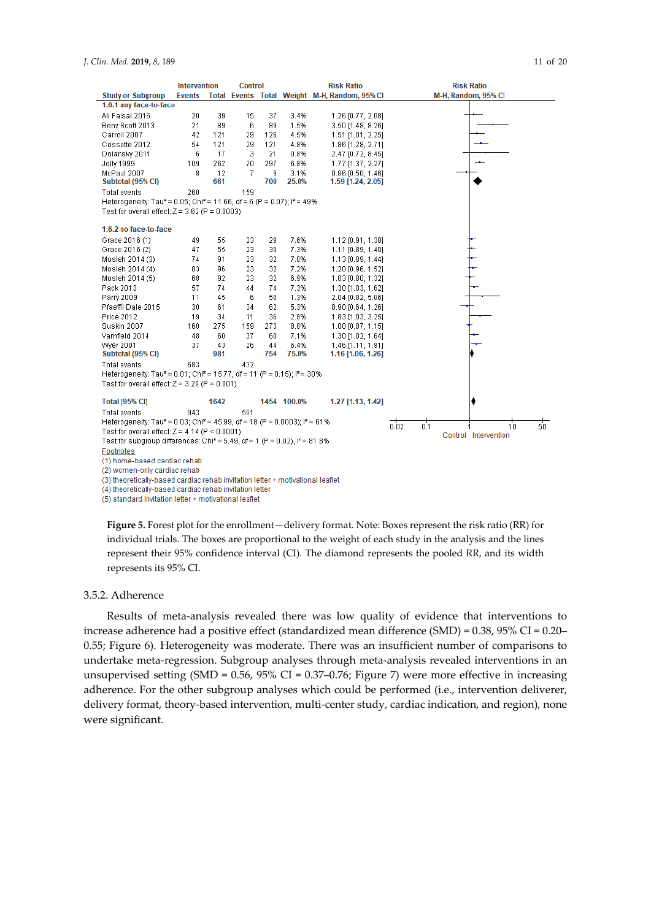|                                                                                                              | <b>Intervention</b> |      | Control                               |     |             | <b>Risk Ratio</b>                             | <b>Risk Ratio</b>             |
|--------------------------------------------------------------------------------------------------------------|---------------------|------|---------------------------------------|-----|-------------|-----------------------------------------------|-------------------------------|
| <b>Study or Subgroup</b>                                                                                     | <b>Events</b>       |      |                                       |     |             | Total Events Total Weight M-H, Random, 95% CI | M-H, Random, 95% CI           |
| 1.6.1 any face-to-face                                                                                       |                     |      |                                       |     |             |                                               |                               |
| Ali Faisal 2016                                                                                              | 20                  | 39   | 15                                    | 37  | 3.4%        | 1.26 [0.77, 2.08]                             |                               |
| Benz Scott 2013                                                                                              | 21                  | 89   | 6                                     | 89  | 1.5%        | 3.50 [1.48, 8.26]                             |                               |
| Carroll 2007                                                                                                 | 42                  | 121  | 29                                    | 126 | 4.5%        | 1.51 [1.01, 2.25]                             |                               |
| Cossette 2012                                                                                                | 54                  | 121  | 29                                    | 121 | 4.8%        | 1.86 [1.28, 2.71]                             |                               |
| Dolansky 2011                                                                                                | 6                   | 17   | 3                                     | 21  | 0.8%        | 2.47 [0.72, 8.45]                             |                               |
| Jolly 1999                                                                                                   | 109                 | 262  | 70                                    | 297 | 6.8%        | 1.77 [1.37, 2.27]                             |                               |
| McPaul 2007                                                                                                  | 8                   | 12   | 7                                     | 9   | 3.1%        | $0.86$ [0.50, 1.46]                           |                               |
| Subtotal (95% CI)                                                                                            |                     | 661  |                                       | 700 | 25.0%       | 1.59 [1.24, 2.05]                             |                               |
| Total events                                                                                                 | 260                 |      | 159                                   |     |             |                                               |                               |
| Heterogeneity: Tau <sup>2</sup> = 0.05; Chi <sup>2</sup> = 11.66, df = 6 (P = 0.07); $P = 49\%$              |                     |      |                                       |     |             |                                               |                               |
| Test for overall effect: $Z = 3.62$ (P = 0.0003)                                                             |                     |      |                                       |     |             |                                               |                               |
|                                                                                                              |                     |      |                                       |     |             |                                               |                               |
| 1.6.2 no face-to-face                                                                                        |                     |      |                                       |     |             |                                               |                               |
| Grace 2016 (1)                                                                                               | 49                  | 55   | 23                                    | 29  | 7.6%        | 1.12 [0.91, 1.38]                             |                               |
| Grace 2016 (2)                                                                                               | 47                  | 55   | 23                                    | 30  | 7.3%        | 1.11 [0.89, 1.40]                             |                               |
| Mosleh 2014 (3)                                                                                              | 74                  | 91   | 23                                    | 32  | 7.0%        | 1.13 [0.89, 1.44]                             |                               |
| Mosleh 2014 (4)                                                                                              | 83                  | 96   | 23                                    | 32  | 7.2%        | 1.20 [0.96, 1.52]                             |                               |
| Mosleh 2014 (5)                                                                                              | 68                  | 92   | 23                                    | 32  | 6.9%        | 1.03 [0.80, 1.32]                             |                               |
| Pack 2013                                                                                                    | 57                  | 74   | 44                                    | 74  | 7.3%        | 1.30 [1.03, 1.62]                             |                               |
| Parry 2009                                                                                                   | 11                  | 45   | 6                                     | 50  | 1.3%        | 2.04 [0.82, 5.06]                             |                               |
| Pfaeffli Dale 2015                                                                                           | 30                  | 61   | 34                                    | 62  | 5.3%        | $0.90$ [0.64, 1.26]                           |                               |
| <b>Price 2012</b>                                                                                            | 19                  | 34   | 11                                    | 36  | 2.8%        | 1.83 [1.03, 3.25]                             |                               |
| Suskin 2007                                                                                                  | 160                 | 275  | 159                                   | 273 | 8.8%        | 1.00 [0.87, 1.15]                             |                               |
| Varnfield 2014                                                                                               | 48                  | 60   | 37                                    | 60  | 7.1%        | 1.30 [1.02, 1.64]                             |                               |
| <b>Wyer 2001</b>                                                                                             | 37                  | 43   | 26                                    | 44  | 6.4%        | 1.46 [1.11, 1.91]                             |                               |
| Subtotal (95% CI)                                                                                            |                     | 981  |                                       | 754 | 75.0%       | 1.16 [1.06, 1.26]                             |                               |
| <b>Total events</b>                                                                                          | 683                 |      | 432                                   |     |             |                                               |                               |
| Heterogeneity: Tau <sup>2</sup> = 0.01; Chi <sup>2</sup> = 15.77, df = 11 (P = 0.15); l <sup>2</sup> = 30%   |                     |      |                                       |     |             |                                               |                               |
| Test for overall effect: $Z = 3.29$ (P = 0.001)                                                              |                     |      |                                       |     |             |                                               |                               |
| <b>Total (95% CI)</b>                                                                                        |                     | 1642 |                                       |     | 1454 100.0% | $1.27$ [1.13, 1.42]                           |                               |
| <b>Total events</b>                                                                                          | 943                 |      | 591                                   |     |             |                                               |                               |
| Heterogeneity: Tau <sup>2</sup> = 0.03; Chi <sup>2</sup> = 45.99, df = 18 (P = 0.0003); l <sup>2</sup> = 61% |                     |      |                                       |     |             |                                               |                               |
| Test for overall effect: $Z = 4.14$ (P < 0.0001)                                                             |                     |      |                                       |     |             |                                               | 50<br>0.1<br>0.02<br>$10^{-}$ |
|                                                                                                              |                     |      | and the second contract of the second |     |             |                                               | Control Intervention          |

Test for subgroup differences: Chi<sup>2</sup> = 5.49, df = 1 (P = 0.02),  $P = 81.8\%$ 

Footnotes

(1) home-based cardiac rehab

(2) women-only cardiac rehab

(3) theoretically-based cardiac rehab invitation letter + motivational leaflet

(4) theoretically-based cardiac rehab invitation letter

(5) standard invitation letter + motivational leaflet

**Figure 5.** Forest plot for the enrollment—delivery format. Note: Boxes represent the risk ratio (RR) for individual trials. The boxes are proportional to the weight of each study in the analysis and the lines represent their 95% confidence interval (CI). The diamond represents the pooled RR, and its width represents its 95% CI.

# 3.5.2. Adherence

Results of meta-analysis revealed there was low quality of evidence that interventions to increase adherence had a positive effect (standardized mean difference (SMD) =  $0.38$ ,  $95\%$  CI =  $0.20-$ 0.55; Figure 6). Heterogeneity was moderate. There was an insufficient number of comparisons to undertake meta-regression. Subgroup analyses through meta-analysis revealed interventions in an unsupervised setting (SMD =  $0.56$ ,  $95\%$  CI =  $0.37-0.76$ ; Figure 7) were more effective in increasing adherence. For the other subgroup analyses which could be performed (i.e., intervention deliverer, delivery format, theory-based intervention, multi-center study, cardiac indication, and region), none were significant.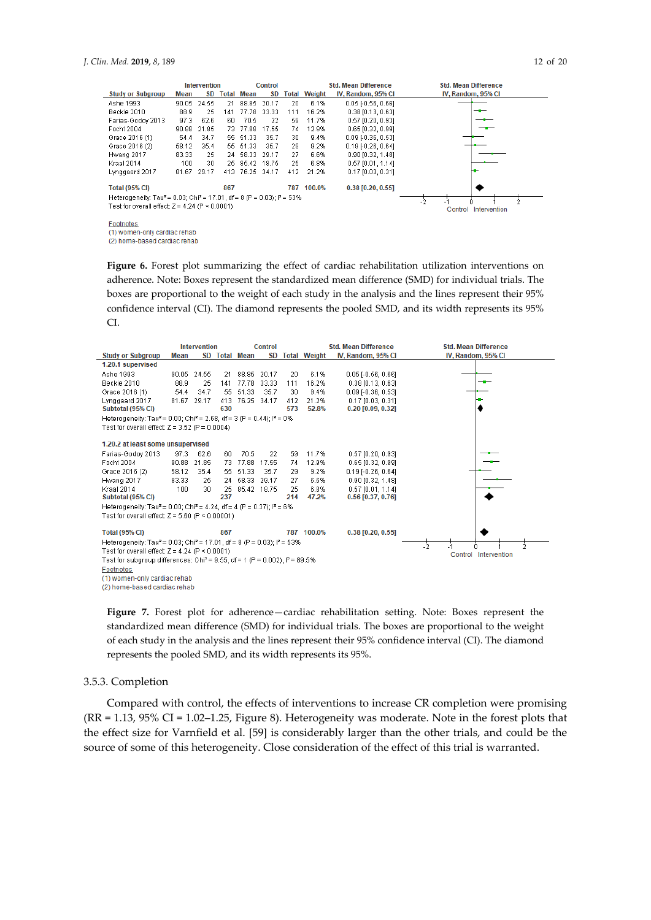|                                                                                                           |       | Intervention |       |             | <b>Control</b> |       |        | <b>Std. Mean Difference</b> | <b>Std. Mean Difference</b> |
|-----------------------------------------------------------------------------------------------------------|-------|--------------|-------|-------------|----------------|-------|--------|-----------------------------|-----------------------------|
| <b>Study or Subgroup</b>                                                                                  | Mean  | SD           | Total | Mean        | SD             | Total | Weight | IV, Random, 95% CI          | IV, Random, 95% CI          |
| Ashe 1993                                                                                                 |       | 90.05 24.55  | 21    | 88.85       | 20.17          | 20    | 6.1%   | $0.05$ [ $-0.56$ , $0.66$ ] |                             |
| Beckie 2010                                                                                               | 88.9  | 25           | 141   | 77.78       | 33.33          | 111   | 16.2%  | $0.38$ [0.13, 0.63]         | --                          |
| Farias-Godoy 2013                                                                                         | 97.3  | 62.6         | 60.   | 70.5        | 22             | 59    | 11.7%  | $0.57$ [0.20, 0.93]         |                             |
| Focht 2004                                                                                                | 90.88 | 21.85        | 73.   | 77.88       | 17.55          | 74    | 12.9%  | $0.65$ [0.32, 0.99]         |                             |
| Grace 2016 (1)                                                                                            | 54.4  | 34.7         | 55.   | 51.33       | 35.7           | 30    | 9.4%   | $0.09$ [ $-0.36$ , $0.53$ ] |                             |
| Grace 2016 (2)                                                                                            | 58.12 | 35.4         | 55.   | 51.33       | 35.7           | 29    | 9.2%   | $0.19$ [-0.26, 0.64]        |                             |
| Hwang 2017                                                                                                | 83.33 | 25           | 24    | 58.33       | 29.17          | 27    | 6.6%   | 0.90 [0.32, 1.48]           |                             |
| Kraal 2014                                                                                                | 100   | 30           | 25.   | 85.42 18.75 |                | 25    | 6.8%   | 0.57 [0.01, 1.14]           |                             |
| Lynggaard 2017                                                                                            | 81.67 | 29.17        | 413   | 76.25 34.17 |                | 412   | 21.2%  | $0.17$ [0.03, 0.31]         |                             |
| <b>Total (95% CI)</b>                                                                                     |       |              | 867   |             |                | 787   | 100.0% | $0.38$ $[0.20, 0.55]$       |                             |
| Heterogeneity: Tau <sup>2</sup> = 0.03; Chi <sup>2</sup> = 17.01, df = 8 (P = 0.03); l <sup>2</sup> = 53% |       |              |       |             |                |       |        |                             | -2                          |
| Test for overall effect: $Z = 4.24$ (P < 0.0001)                                                          |       |              |       |             |                |       |        |                             | Control<br>Intervention     |
|                                                                                                           |       |              |       |             |                |       |        |                             |                             |

Footnotes (1) women-only cardiac rehab (2) home-based cardiac rehab

**Figure 6.** Forest plot summarizing the effect of cardiac rehabilitation utilization interventions on adherence. Note: Boxes represent the standardized mean difference (SMD) for individual trials. The boxes are proportional to the weight of each study in the analysis and the lines represent their 95% confidence interval (CI). The diamond represents the pooled SMD, and its width represents its 95% CI.

|                                                                                                           |       | <b>Intervention</b> |     |                   | <b>Control</b> |     |                     | <b>Std. Mean Difference</b> | <b>Std. Mean Difference</b> |
|-----------------------------------------------------------------------------------------------------------|-------|---------------------|-----|-------------------|----------------|-----|---------------------|-----------------------------|-----------------------------|
| <b>Study or Subgroup</b>                                                                                  | Mean  | SD                  |     | <b>Total Mean</b> | SD             |     | <b>Total Weight</b> | IV, Random, 95% CI          | IV, Random, 95% CI          |
| 1.20.1 supervised                                                                                         |       |                     |     |                   |                |     |                     |                             |                             |
| Ashe 1993                                                                                                 |       | 90.05 24.55         | 21  | 88.85             | 20.17          | 20  | 6.1%                | $0.05$ $F0.56$ , $0.661$    |                             |
| Beckie 2010                                                                                               | 88.9  | 25                  | 141 | 77.78             | 33.33          | 111 | 16.2%               | $0.38$ [0.13, 0.63]         | --                          |
| Grace 2016 (1)                                                                                            | 54.4  | 34.7                | 55  | 51.33             | 35.7           | 30  | 9.4%                | $0.09$ [ $-0.36$ , $0.53$ ] |                             |
| Lynggaard 2017                                                                                            | 81.67 | 29.17               | 413 | 76.25             | 34.17          | 412 | 21.2%               | 0.17 [0.03, 0.31]           |                             |
| Subtotal (95% CI)                                                                                         |       |                     | 630 |                   |                | 573 | 52.8%               | $0.20$ [0.09, 0.32]         |                             |
| Heterogeneity: Tau <sup>2</sup> = 0.00; Chi <sup>2</sup> = 2.68, df = 3 (P = 0.44); $P = 0\%$             |       |                     |     |                   |                |     |                     |                             |                             |
| Test for overall effect: $Z = 3.52$ (P = 0.0004)                                                          |       |                     |     |                   |                |     |                     |                             |                             |
|                                                                                                           |       |                     |     |                   |                |     |                     |                             |                             |
| 1.20.2 at least some unsupervised                                                                         |       |                     |     |                   |                |     |                     |                             |                             |
| Farias-Godov 2013                                                                                         | 97.3  | 62.6                | 60  | 70.5              | 22             | 59  | 11.7%               | $0.57$ [0.20, 0.93]         |                             |
| Focht 2004                                                                                                | 90.88 | 21.85               | 73. | 77.88             | 17.55          | 74  | 12.9%               | 0.65 [0.32, 0.99]           |                             |
| Grace 2016 (2)                                                                                            | 58.12 | 35.4                | 55. | 51.33             | 35.7           | 29  | 9.2%                | $0.19$ [-0.26, 0.64]        |                             |
| Hwang 2017                                                                                                | 83.33 | 25                  | 24  | 58.33             | 29.17          | 27  | 6.6%                | 0.90 [0.32, 1.48]           |                             |
| Kraal 2014                                                                                                | 100   | 30                  | 25  | 85.42 18.75       |                | 25  | 6.8%                | $0.57$ $10.01$ , $1.141$    |                             |
| Subtotal (95% CI)                                                                                         |       |                     | 237 |                   |                | 214 | 47.2%               | $0.56$ [0.37, 0.76]         |                             |
| Heterogeneity: Tau <sup>2</sup> = 0.00; Chi <sup>2</sup> = 4.24, df = 4 (P = 0.37); $P = 6\%$             |       |                     |     |                   |                |     |                     |                             |                             |
| Test for overall effect: $Z = 5.60$ (P < 0.00001)                                                         |       |                     |     |                   |                |     |                     |                             |                             |
| <b>Total (95% CI)</b>                                                                                     |       |                     | 867 |                   |                |     | 787 100.0%          | $0.38$ [0.20, 0.55]         |                             |
| Heterogeneity: Tau <sup>2</sup> = 0.03; Chi <sup>2</sup> = 17.01, df = 8 (P = 0.03); i <sup>2</sup> = 53% |       |                     |     |                   |                |     |                     |                             |                             |
| Test for overall effect: $Z = 4.24$ (P < 0.0001)                                                          |       |                     |     |                   |                |     |                     |                             | -5<br>ż.                    |
| Test for subgroup differences: Chi <sup>2</sup> = 9.55, df = 1 (P = 0.002), $P = 89.5\%$                  |       |                     |     |                   |                |     |                     |                             | Control Intervention        |
| Footnotes                                                                                                 |       |                     |     |                   |                |     |                     |                             |                             |
| (1) women-only cardiac rehab                                                                              |       |                     |     |                   |                |     |                     |                             |                             |
| (2) home-based cardiac rehab                                                                              |       |                     |     |                   |                |     |                     |                             |                             |

**Figure 7.** Forest plot for adherence—cardiac rehabilitation setting. Note: Boxes represent the standardized mean difference (SMD) for individual trials. The boxes are proportional to the weight of each study in the analysis and the lines represent their 95% confidence interval (CI). The diamond represents the pooled SMD, and its width represents its 95%.

#### 3.5.3. Completion

Compared with control, the effects of interventions to increase CR completion were promising (RR = 1.13, 95% CI = 1.02–1.25, Figure 8). Heterogeneity was moderate. Note in the forest plots that the effect size for Varnfield et al. [59] is considerably larger than the other trials, and could be the source of some of this heterogeneity. Close consideration of the effect of this trial is warranted.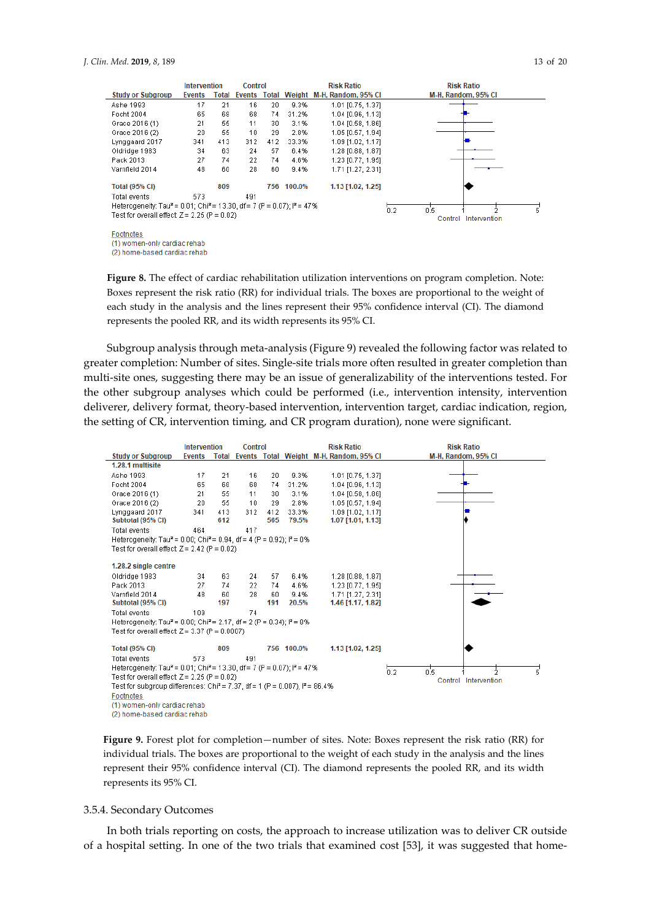|                                                                                                 | <b>Intervention</b> |       | <b>Control</b> |              |            | <b>Risk Ratio</b>          | <b>Risk Ratio</b>       |
|-------------------------------------------------------------------------------------------------|---------------------|-------|----------------|--------------|------------|----------------------------|-------------------------|
| <b>Study or Subgroup</b>                                                                        | <b>Events</b>       | Total | <b>Events</b>  | <b>Total</b> |            | Weight M-H, Random, 95% CI | M-H. Random, 95% CI     |
| Ashe 1993                                                                                       | 17                  | 21    | 16             | 20           | 9.3%       | 1.01 [0.75, 1.37]          |                         |
| Focht 2004                                                                                      | 65                  | 68    | 68             | 74           | 31.2%      | 1.04 [0.96, 1.13]          |                         |
| Grace 2016 (1)                                                                                  | 21                  | 55    | 11             | 30           | 3.1%       | 1.04 [0.58, 1.86]          |                         |
| Grace 2016 (2)                                                                                  | 20                  | 55    | 10             | 29           | 2.8%       | 1.05 [0.57, 1.94]          |                         |
| Lynggaard 2017                                                                                  | 341                 | 413   | 312            | 412          | 33.3%      | 1.09 [1.02, 1.17]          |                         |
| Oldridge 1983                                                                                   | 34                  | 63    | 24             | 57           | 6.4%       | 1.28 [0.88, 1.87]          |                         |
| Pack 2013                                                                                       | 27                  | 74    | 22             | 74           | 4.6%       | 1.23 [0.77, 1.95]          |                         |
| Varnfield 2014                                                                                  | 48                  | 60    | 28             | 60           | 9.4%       | 1.71 [1.27, 2.31]          |                         |
| <b>Total (95% CI)</b>                                                                           |                     | 809   |                |              | 756 100.0% | 1.13 [1.02, 1.25]          |                         |
| Total events                                                                                    | 573                 |       | 491            |              |            |                            |                         |
| Heterogeneity: Tau <sup>2</sup> = 0.01; Chi <sup>2</sup> = 13.30, df = 7 (P = 0.07); $P = 47\%$ |                     |       |                |              |            |                            | 5<br>0.2<br>0.5         |
| Test for overall effect: $Z = 2.25$ (P = 0.02)                                                  |                     |       |                |              |            |                            | Intervention<br>Control |

Footnotes (1) women-only cardiac rehab

(2) home-based cardiac rehab

**Figure 8.** The effect of cardiac rehabilitation utilization interventions on program completion. Note: Boxes represent the risk ratio (RR) for individual trials. The boxes are proportional to the weight of each study in the analysis and the lines represent their 95% confidence interval (CI). The diamond represents the pooled RR, and its width represents its 95% CI.

Subgroup analysis through meta-analysis (Figure 9) revealed the following factor was related to greater completion: Number of sites. Single-site trials more often resulted in greater completion than multi-site ones, suggesting there may be an issue of generalizability of the interventions tested. For the other subgroup analyses which could be performed (i.e., intervention intensity, intervention deliverer, delivery format, theory-based intervention, intervention target, cardiac indication, region, the setting of CR, intervention timing, and CR program duration), none were significant.

![](_page_12_Figure_7.jpeg)

**Figure 9.** Forest plot for completion—number of sites. Note: Boxes represent the risk ratio (RR) for individual trials. The boxes are proportional to the weight of each study in the analysis and the lines represent their 95% confidence interval (CI). The diamond represents the pooled RR, and its width represents its 95% CI.

#### 3.5.4. Secondary Outcomes

In both trials reporting on costs, the approach to increase utilization was to deliver CR outside of a hospital setting. In one of the two trials that examined cost [53], it was suggested that home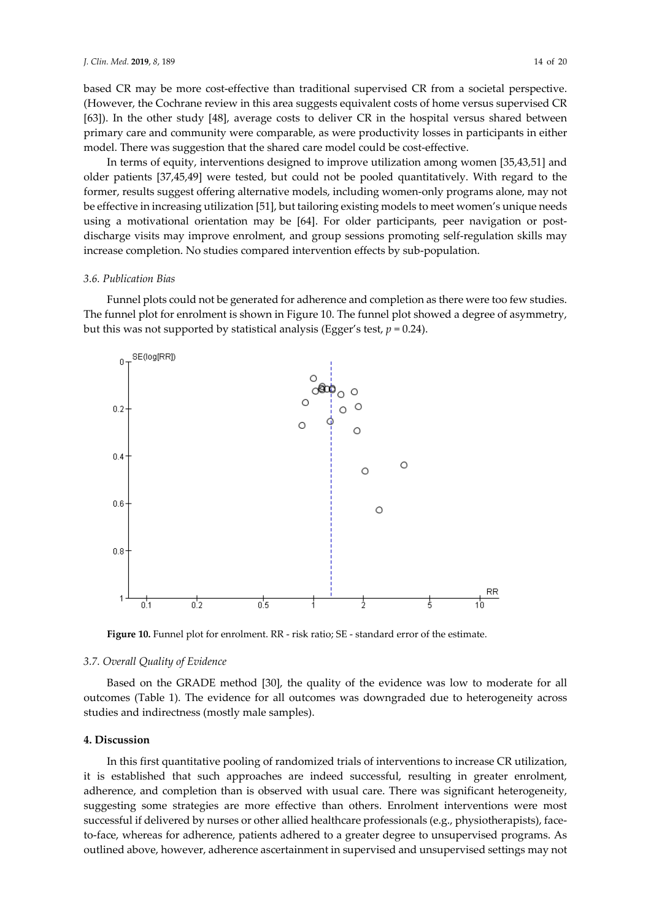based CR may be more cost-effective than traditional supervised CR from a societal perspective. (However, the Cochrane review in this area suggests equivalent costs of home versus supervised CR [63]). In the other study [48], average costs to deliver CR in the hospital versus shared between primary care and community were comparable, as were productivity losses in participants in either model. There was suggestion that the shared care model could be cost-effective.

In terms of equity, interventions designed to improve utilization among women [35,43,51] and older patients [37,45,49] were tested, but could not be pooled quantitatively. With regard to the former, results suggest offering alternative models, including women-only programs alone, may not be effective in increasing utilization [51], but tailoring existing models to meet women's unique needs using a motivational orientation may be [64]. For older participants, peer navigation or postdischarge visits may improve enrolment, and group sessions promoting self-regulation skills may increase completion. No studies compared intervention effects by sub-population.

## *3.6. Publication Bias*

Funnel plots could not be generated for adherence and completion as there were too few studies. The funnel plot for enrolment is shown in Figure 10. The funnel plot showed a degree of asymmetry, but this was not supported by statistical analysis (Egger's test,  $p = 0.24$ ).

![](_page_13_Figure_6.jpeg)

**Figure 10.** Funnel plot for enrolment. RR - risk ratio; SE - standard error of the estimate.

#### *3.7. Overall Quality of Evidence*

Based on the GRADE method [30], the quality of the evidence was low to moderate for all outcomes (Table 1). The evidence for all outcomes was downgraded due to heterogeneity across studies and indirectness (mostly male samples).

# **4. Discussion**

In this first quantitative pooling of randomized trials of interventions to increase CR utilization, it is established that such approaches are indeed successful, resulting in greater enrolment, adherence, and completion than is observed with usual care. There was significant heterogeneity, suggesting some strategies are more effective than others. Enrolment interventions were most successful if delivered by nurses or other allied healthcare professionals (e.g., physiotherapists), faceto-face, whereas for adherence, patients adhered to a greater degree to unsupervised programs. As outlined above, however, adherence ascertainment in supervised and unsupervised settings may not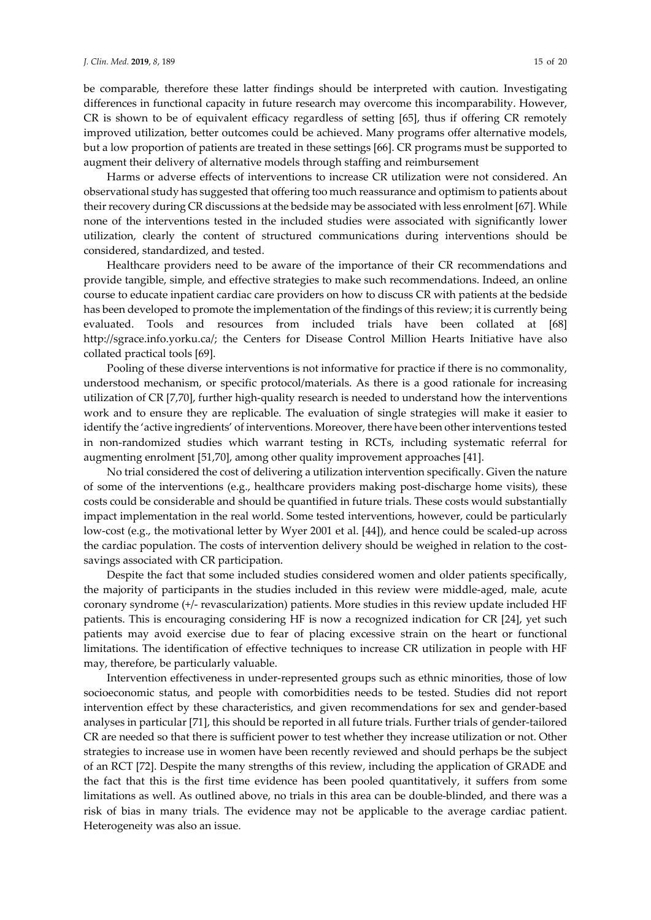be comparable, therefore these latter findings should be interpreted with caution. Investigating differences in functional capacity in future research may overcome this incomparability. However, CR is shown to be of equivalent efficacy regardless of setting [65], thus if offering CR remotely improved utilization, better outcomes could be achieved. Many programs offer alternative models, but a low proportion of patients are treated in these settings [66]. CR programs must be supported to augment their delivery of alternative models through staffing and reimbursement

Harms or adverse effects of interventions to increase CR utilization were not considered. An observational study has suggested that offering too much reassurance and optimism to patients about their recovery during CR discussions at the bedside may be associated with less enrolment [67]. While none of the interventions tested in the included studies were associated with significantly lower utilization, clearly the content of structured communications during interventions should be considered, standardized, and tested.

Healthcare providers need to be aware of the importance of their CR recommendations and provide tangible, simple, and effective strategies to make such recommendations. Indeed, an online course to educate inpatient cardiac care providers on how to discuss CR with patients at the bedside has been developed to promote the implementation of the findings of this review; it is currently being evaluated. Tools and resources from included trials have been collated at [68] http://sgrace.info.yorku.ca/; the Centers for Disease Control Million Hearts Initiative have also collated practical tools [69].

Pooling of these diverse interventions is not informative for practice if there is no commonality, understood mechanism, or specific protocol/materials. As there is a good rationale for increasing utilization of CR [7,70], further high-quality research is needed to understand how the interventions work and to ensure they are replicable. The evaluation of single strategies will make it easier to identify the 'active ingredients' of interventions. Moreover, there have been other interventions tested in non-randomized studies which warrant testing in RCTs, including systematic referral for augmenting enrolment [51,70], among other quality improvement approaches [41].

No trial considered the cost of delivering a utilization intervention specifically. Given the nature of some of the interventions (e.g., healthcare providers making post-discharge home visits), these costs could be considerable and should be quantified in future trials. These costs would substantially impact implementation in the real world. Some tested interventions, however, could be particularly low-cost (e.g., the motivational letter by Wyer 2001 et al. [44]), and hence could be scaled-up across the cardiac population. The costs of intervention delivery should be weighed in relation to the costsavings associated with CR participation.

Despite the fact that some included studies considered women and older patients specifically, the majority of participants in the studies included in this review were middle-aged, male, acute coronary syndrome (+/- revascularization) patients. More studies in this review update included HF patients. This is encouraging considering HF is now a recognized indication for CR [24], yet such patients may avoid exercise due to fear of placing excessive strain on the heart or functional limitations. The identification of effective techniques to increase CR utilization in people with HF may, therefore, be particularly valuable.

Intervention effectiveness in under-represented groups such as ethnic minorities, those of low socioeconomic status, and people with comorbidities needs to be tested. Studies did not report intervention effect by these characteristics, and given recommendations for sex and gender-based analyses in particular [71], this should be reported in all future trials. Further trials of gender-tailored CR are needed so that there is sufficient power to test whether they increase utilization or not. Other strategies to increase use in women have been recently reviewed and should perhaps be the subject of an RCT [72]. Despite the many strengths of this review, including the application of GRADE and the fact that this is the first time evidence has been pooled quantitatively, it suffers from some limitations as well. As outlined above, no trials in this area can be double-blinded, and there was a risk of bias in many trials. The evidence may not be applicable to the average cardiac patient. Heterogeneity was also an issue.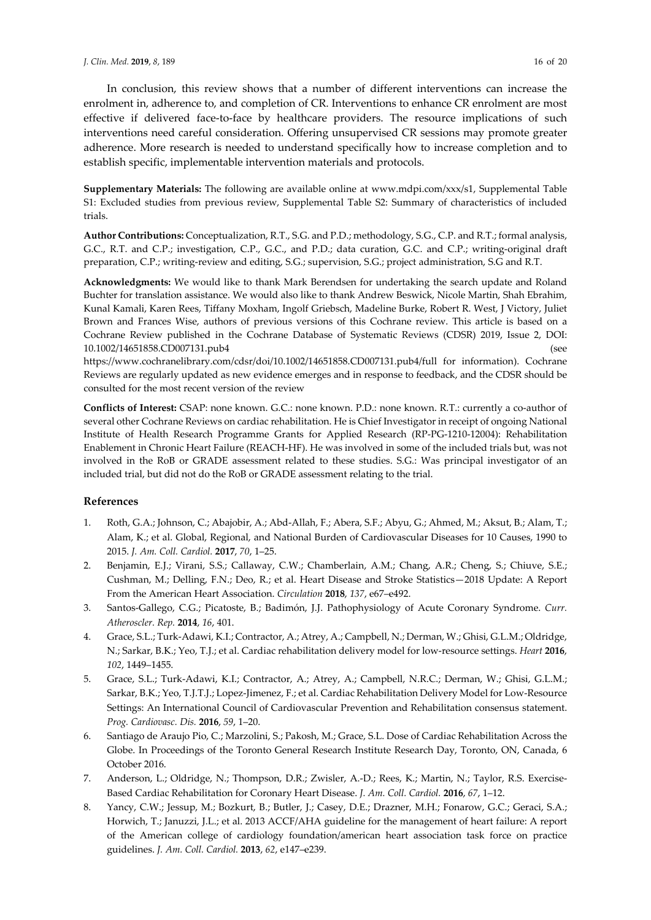In conclusion, this review shows that a number of different interventions can increase the enrolment in, adherence to, and completion of CR. Interventions to enhance CR enrolment are most effective if delivered face-to-face by healthcare providers. The resource implications of such interventions need careful consideration. Offering unsupervised CR sessions may promote greater adherence. More research is needed to understand specifically how to increase completion and to establish specific, implementable intervention materials and protocols.

**Supplementary Materials:** The following are available online at www.mdpi.com/xxx/s1, Supplemental Table S1: Excluded studies from previous review, Supplemental Table S2: Summary of characteristics of included trials.

**Author Contributions:** Conceptualization, R.T., S.G. and P.D.; methodology, S.G., C.P. and R.T.; formal analysis, G.C., R.T. and C.P.; investigation, C.P., G.C., and P.D.; data curation, G.C. and C.P.; writing-original draft preparation, C.P.; writing-review and editing, S.G.; supervision, S.G.; project administration, S.G and R.T.

**Acknowledgments:** We would like to thank Mark Berendsen for undertaking the search update and Roland Buchter for translation assistance. We would also like to thank Andrew Beswick, Nicole Martin, Shah Ebrahim, Kunal Kamali, Karen Rees, Tiffany Moxham, Ingolf Griebsch, Madeline Burke, Robert R. West, J Victory, Juliet Brown and Frances Wise, authors of previous versions of this Cochrane review. This article is based on a Cochrane Review published in the Cochrane Database of Systematic Reviews (CDSR) 2019, Issue 2, DOI: 10.1002/14651858.CD007131.pub4 (see

https://www.cochranelibrary.com/cdsr/doi/10.1002/14651858.CD007131.pub4/full for information). Cochrane Reviews are regularly updated as new evidence emerges and in response to feedback, and the CDSR should be consulted for the most recent version of the review

**Conflicts of Interest:** CSAP: none known. G.C.: none known. P.D.: none known. R.T.: currently a co-author of several other Cochrane Reviews on cardiac rehabilitation. He is Chief Investigator in receipt of ongoing National Institute of Health Research Programme Grants for Applied Research (RP-PG-1210-12004): Rehabilitation Enablement in Chronic Heart Failure (REACH-HF). He was involved in some of the included trials but, was not involved in the RoB or GRADE assessment related to these studies. S.G.: Was principal investigator of an included trial, but did not do the RoB or GRADE assessment relating to the trial.

## **References**

- 1. Roth, G.A.; Johnson, C.; Abajobir, A.; Abd-Allah, F.; Abera, S.F.; Abyu, G.; Ahmed, M.; Aksut, B.; Alam, T.; Alam, K.; et al. Global, Regional, and National Burden of Cardiovascular Diseases for 10 Causes, 1990 to 2015. *J. Am. Coll. Cardiol.* **2017**, *70*, 1–25.
- 2. Benjamin, E.J.; Virani, S.S.; Callaway, C.W.; Chamberlain, A.M.; Chang, A.R.; Cheng, S.; Chiuve, S.E.; Cushman, M.; Delling, F.N.; Deo, R.; et al. Heart Disease and Stroke Statistics—2018 Update: A Report From the American Heart Association. *Circulation* **2018**, *137*, e67–e492.
- 3. Santos-Gallego, C.G.; Picatoste, B.; Badimón, J.J. Pathophysiology of Acute Coronary Syndrome. *Curr. Atheroscler. Rep.* **2014**, *16*, 401.
- 4. Grace, S.L.; Turk-Adawi, K.I.; Contractor, A.; Atrey, A.; Campbell, N.; Derman, W.; Ghisi, G.L.M.; Oldridge, N.; Sarkar, B.K.; Yeo, T.J.; et al. Cardiac rehabilitation delivery model for low-resource settings. *Heart* **2016**, *102*, 1449–1455.
- 5. Grace, S.L.; Turk-Adawi, K.I.; Contractor, A.; Atrey, A.; Campbell, N.R.C.; Derman, W.; Ghisi, G.L.M.; Sarkar, B.K.; Yeo, T.J.T.J.; Lopez-Jimenez, F.; et al. Cardiac Rehabilitation Delivery Model for Low-Resource Settings: An International Council of Cardiovascular Prevention and Rehabilitation consensus statement. *Prog. Cardiovasc. Dis.* **2016**, *59*, 1–20.
- 6. Santiago de Araujo Pio, C.; Marzolini, S.; Pakosh, M.; Grace, S.L. Dose of Cardiac Rehabilitation Across the Globe. In Proceedings of the Toronto General Research Institute Research Day, Toronto, ON, Canada, 6 October 2016.
- 7. Anderson, L.; Oldridge, N.; Thompson, D.R.; Zwisler, A.-D.; Rees, K.; Martin, N.; Taylor, R.S. Exercise-Based Cardiac Rehabilitation for Coronary Heart Disease. *J. Am. Coll. Cardiol.* **2016**, *67*, 1–12.
- 8. Yancy, C.W.; Jessup, M.; Bozkurt, B.; Butler, J.; Casey, D.E.; Drazner, M.H.; Fonarow, G.C.; Geraci, S.A.; Horwich, T.; Januzzi, J.L.; et al. 2013 ACCF/AHA guideline for the management of heart failure: A report of the American college of cardiology foundation/american heart association task force on practice guidelines. *J. Am. Coll. Cardiol.* **2013**, *62*, e147–e239.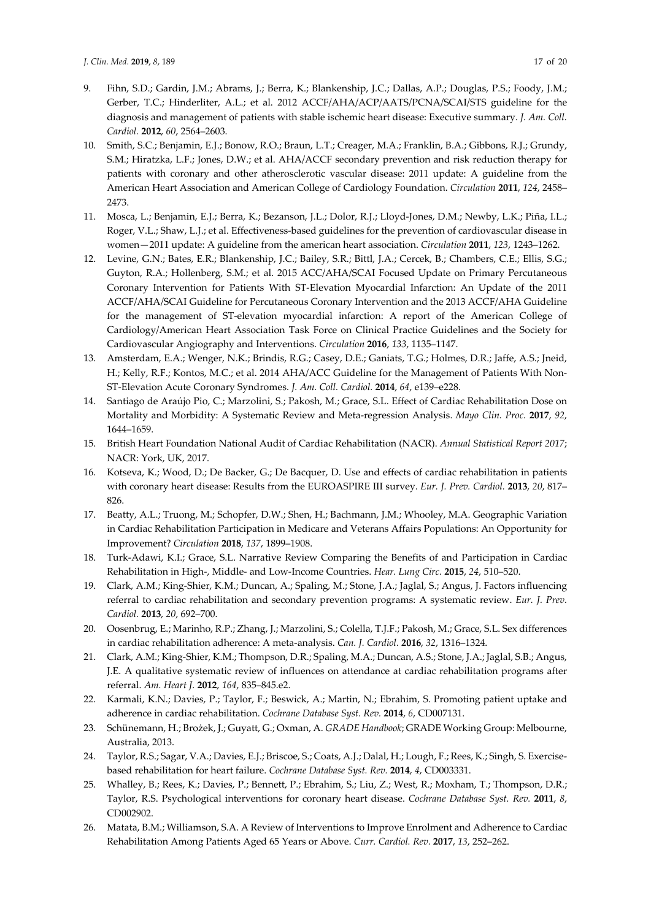- 
- 9. Fihn, S.D.; Gardin, J.M.; Abrams, J.; Berra, K.; Blankenship, J.C.; Dallas, A.P.; Douglas, P.S.; Foody, J.M.; Gerber, T.C.; Hinderliter, A.L.; et al. 2012 ACCF/AHA/ACP/AATS/PCNA/SCAI/STS guideline for the diagnosis and management of patients with stable ischemic heart disease: Executive summary. *J. Am. Coll. Cardiol.* **2012**, *60*, 2564–2603.
- 10. Smith, S.C.; Benjamin, E.J.; Bonow, R.O.; Braun, L.T.; Creager, M.A.; Franklin, B.A.; Gibbons, R.J.; Grundy, S.M.; Hiratzka, L.F.; Jones, D.W.; et al. AHA/ACCF secondary prevention and risk reduction therapy for patients with coronary and other atherosclerotic vascular disease: 2011 update: A guideline from the American Heart Association and American College of Cardiology Foundation. *Circulation* **2011**, *124*, 2458– 2473.
- 11. Mosca, L.; Benjamin, E.J.; Berra, K.; Bezanson, J.L.; Dolor, R.J.; Lloyd-Jones, D.M.; Newby, L.K.; Piña, I.L.; Roger, V.L.; Shaw, L.J.; et al. Effectiveness-based guidelines for the prevention of cardiovascular disease in women—2011 update: A guideline from the american heart association. *Circulation* **2011**, *123*, 1243–1262.
- 12. Levine, G.N.; Bates, E.R.; Blankenship, J.C.; Bailey, S.R.; Bittl, J.A.; Cercek, B.; Chambers, C.E.; Ellis, S.G.; Guyton, R.A.; Hollenberg, S.M.; et al. 2015 ACC/AHA/SCAI Focused Update on Primary Percutaneous Coronary Intervention for Patients With ST-Elevation Myocardial Infarction: An Update of the 2011 ACCF/AHA/SCAI Guideline for Percutaneous Coronary Intervention and the 2013 ACCF/AHA Guideline for the management of ST-elevation myocardial infarction: A report of the American College of Cardiology/American Heart Association Task Force on Clinical Practice Guidelines and the Society for Cardiovascular Angiography and Interventions. *Circulation* **2016**, *133*, 1135–1147.
- 13. Amsterdam, E.A.; Wenger, N.K.; Brindis, R.G.; Casey, D.E.; Ganiats, T.G.; Holmes, D.R.; Jaffe, A.S.; Jneid, H.; Kelly, R.F.; Kontos, M.C.; et al. 2014 AHA/ACC Guideline for the Management of Patients With Non-ST-Elevation Acute Coronary Syndromes. *J. Am. Coll. Cardiol.* **2014**, *64*, e139–e228.
- 14. Santiago de Araújo Pio, C.; Marzolini, S.; Pakosh, M.; Grace, S.L. Effect of Cardiac Rehabilitation Dose on Mortality and Morbidity: A Systematic Review and Meta-regression Analysis. *Mayo Clin. Proc.* **2017**, *92*, 1644–1659.
- 15. British Heart Foundation National Audit of Cardiac Rehabilitation (NACR). *Annual Statistical Report 2017*; NACR: York, UK, 2017.
- 16. Kotseva, K.; Wood, D.; De Backer, G.; De Bacquer, D. Use and effects of cardiac rehabilitation in patients with coronary heart disease: Results from the EUROASPIRE III survey. *Eur. J. Prev. Cardiol.* **2013**, *20*, 817– 826.
- 17. Beatty, A.L.; Truong, M.; Schopfer, D.W.; Shen, H.; Bachmann, J.M.; Whooley, M.A. Geographic Variation in Cardiac Rehabilitation Participation in Medicare and Veterans Affairs Populations: An Opportunity for Improvement? *Circulation* **2018**, *137*, 1899–1908.
- 18. Turk-Adawi, K.I.; Grace, S.L. Narrative Review Comparing the Benefits of and Participation in Cardiac Rehabilitation in High-, Middle- and Low-Income Countries. *Hear. Lung Circ.* **2015**, *24*, 510–520.
- 19. Clark, A.M.; King-Shier, K.M.; Duncan, A.; Spaling, M.; Stone, J.A.; Jaglal, S.; Angus, J. Factors influencing referral to cardiac rehabilitation and secondary prevention programs: A systematic review. *Eur. J. Prev. Cardiol.* **2013**, *20*, 692–700.
- 20. Oosenbrug, E.; Marinho, R.P.; Zhang, J.; Marzolini, S.; Colella, T.J.F.; Pakosh, M.; Grace, S.L. Sex differences in cardiac rehabilitation adherence: A meta-analysis. *Can. J. Cardiol.* **2016**, *32*, 1316–1324.
- 21. Clark, A.M.; King-Shier, K.M.; Thompson, D.R.; Spaling, M.A.; Duncan, A.S.; Stone, J.A.; Jaglal, S.B.; Angus, J.E. A qualitative systematic review of influences on attendance at cardiac rehabilitation programs after referral. *Am. Heart J.* **2012**, *164*, 835–845.e2.
- 22. Karmali, K.N.; Davies, P.; Taylor, F.; Beswick, A.; Martin, N.; Ebrahim, S. Promoting patient uptake and adherence in cardiac rehabilitation. *Cochrane Database Syst. Rev.* **2014**, *6*, CD007131.
- 23. Schünemann, H.; Brożek, J.; Guyatt, G.; Oxman, A. *GRADE Handbook*; GRADE Working Group: Melbourne, Australia, 2013.
- 24. Taylor, R.S.; Sagar, V.A.; Davies, E.J.; Briscoe, S.; Coats, A.J.; Dalal, H.; Lough, F.; Rees, K.; Singh, S. Exercisebased rehabilitation for heart failure. *Cochrane Database Syst. Rev.* **2014**, *4*, CD003331.
- 25. Whalley, B.; Rees, K.; Davies, P.; Bennett, P.; Ebrahim, S.; Liu, Z.; West, R.; Moxham, T.; Thompson, D.R.; Taylor, R.S. Psychological interventions for coronary heart disease. *Cochrane Database Syst. Rev.* **2011**, *8*, CD002902.
- 26. Matata, B.M.; Williamson, S.A. A Review of Interventions to Improve Enrolment and Adherence to Cardiac Rehabilitation Among Patients Aged 65 Years or Above. *Curr. Cardiol. Rev.* **2017**, *13*, 252–262.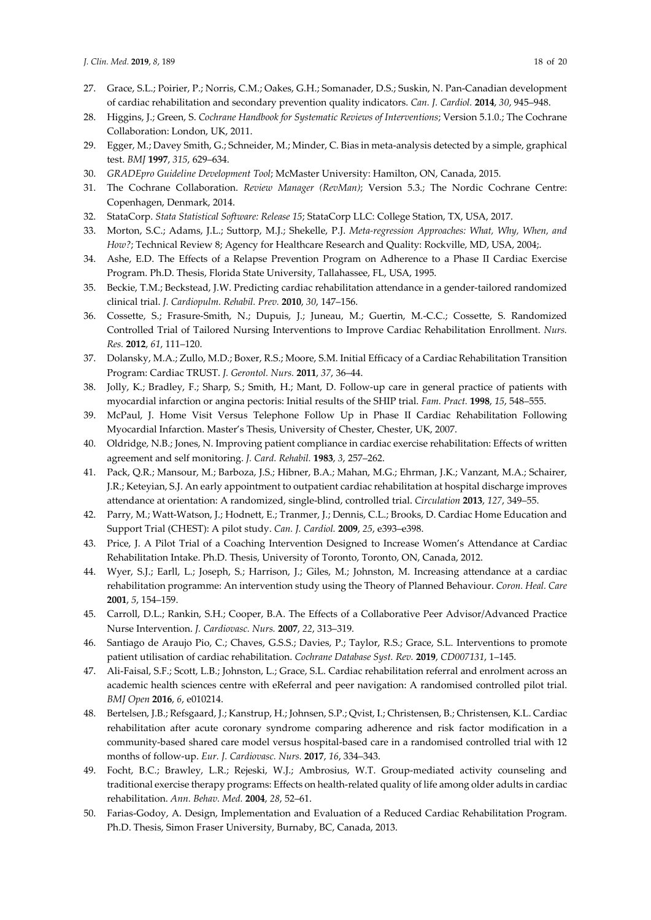- 27. Grace, S.L.; Poirier, P.; Norris, C.M.; Oakes, G.H.; Somanader, D.S.; Suskin, N. Pan-Canadian development of cardiac rehabilitation and secondary prevention quality indicators. *Can. J. Cardiol.* **2014**, *30*, 945–948.
- 28. Higgins, J.; Green, S. *Cochrane Handbook for Systematic Reviews of Interventions*; Version 5.1.0.; The Cochrane Collaboration: London, UK, 2011.
- 29. Egger, M.; Davey Smith, G.; Schneider, M.; Minder, C. Bias in meta-analysis detected by a simple, graphical test. *BMJ* **1997**, *315*, 629–634.
- 30. *GRADEpro Guideline Development Tool*; McMaster University: Hamilton, ON, Canada, 2015.
- 31. The Cochrane Collaboration. *Review Manager (RevMan)*; Version 5.3.; The Nordic Cochrane Centre: Copenhagen, Denmark, 2014.
- 32. StataCorp. *Stata Statistical Software: Release 15*; StataCorp LLC: College Station, TX, USA, 2017.
- 33. Morton, S.C.; Adams, J.L.; Suttorp, M.J.; Shekelle, P.J. *Meta-regression Approaches: What, Why, When, and How?*; Technical Review 8; Agency for Healthcare Research and Quality: Rockville, MD, USA, 2004;.
- 34. Ashe, E.D. The Effects of a Relapse Prevention Program on Adherence to a Phase II Cardiac Exercise Program. Ph.D. Thesis, Florida State University, Tallahassee, FL, USA, 1995.
- 35. Beckie, T.M.; Beckstead, J.W. Predicting cardiac rehabilitation attendance in a gender-tailored randomized clinical trial. *J. Cardiopulm. Rehabil. Prev.* **2010**, *30*, 147–156.
- 36. Cossette, S.; Frasure-Smith, N.; Dupuis, J.; Juneau, M.; Guertin, M.-C.C.; Cossette, S. Randomized Controlled Trial of Tailored Nursing Interventions to Improve Cardiac Rehabilitation Enrollment. *Nurs. Res.* **2012**, *61*, 111–120.
- 37. Dolansky, M.A.; Zullo, M.D.; Boxer, R.S.; Moore, S.M. Initial Efficacy of a Cardiac Rehabilitation Transition Program: Cardiac TRUST. *J. Gerontol. Nurs.* **2011**, *37*, 36–44.
- 38. Jolly, K.; Bradley, F.; Sharp, S.; Smith, H.; Mant, D. Follow-up care in general practice of patients with myocardial infarction or angina pectoris: Initial results of the SHIP trial. *Fam. Pract.* **1998**, *15*, 548–555.
- 39. McPaul, J. Home Visit Versus Telephone Follow Up in Phase II Cardiac Rehabilitation Following Myocardial Infarction. Master's Thesis, University of Chester, Chester, UK, 2007.
- 40. Oldridge, N.B.; Jones, N. Improving patient compliance in cardiac exercise rehabilitation: Effects of written agreement and self monitoring. *J. Card. Rehabil.* **1983**, *3*, 257–262.
- 41. Pack, Q.R.; Mansour, M.; Barboza, J.S.; Hibner, B.A.; Mahan, M.G.; Ehrman, J.K.; Vanzant, M.A.; Schairer, J.R.; Keteyian, S.J. An early appointment to outpatient cardiac rehabilitation at hospital discharge improves attendance at orientation: A randomized, single-blind, controlled trial. *Circulation* **2013**, *127*, 349–55.
- 42. Parry, M.; Watt-Watson, J.; Hodnett, E.; Tranmer, J.; Dennis, C.L.; Brooks, D. Cardiac Home Education and Support Trial (CHEST): A pilot study. *Can. J. Cardiol.* **2009**, *25*, e393–e398.
- 43. Price, J. A Pilot Trial of a Coaching Intervention Designed to Increase Women's Attendance at Cardiac Rehabilitation Intake. Ph.D. Thesis, University of Toronto, Toronto, ON, Canada, 2012.
- 44. Wyer, S.J.; Earll, L.; Joseph, S.; Harrison, J.; Giles, M.; Johnston, M. Increasing attendance at a cardiac rehabilitation programme: An intervention study using the Theory of Planned Behaviour. *Coron. Heal. Care* **2001**, *5*, 154–159.
- 45. Carroll, D.L.; Rankin, S.H.; Cooper, B.A. The Effects of a Collaborative Peer Advisor/Advanced Practice Nurse Intervention. *J. Cardiovasc. Nurs.* **2007**, *22*, 313–319.
- 46. Santiago de Araujo Pio, C.; Chaves, G.S.S.; Davies, P.; Taylor, R.S.; Grace, S.L. Interventions to promote patient utilisation of cardiac rehabilitation. *Cochrane Database Syst. Rev.* **2019**, *CD007131*, 1–145.
- 47. Ali-Faisal, S.F.; Scott, L.B.; Johnston, L.; Grace, S.L. Cardiac rehabilitation referral and enrolment across an academic health sciences centre with eReferral and peer navigation: A randomised controlled pilot trial. *BMJ Open* **2016**, *6*, e010214.
- 48. Bertelsen, J.B.; Refsgaard, J.; Kanstrup, H.; Johnsen, S.P.; Qvist, I.; Christensen, B.; Christensen, K.L. Cardiac rehabilitation after acute coronary syndrome comparing adherence and risk factor modification in a community-based shared care model versus hospital-based care in a randomised controlled trial with 12 months of follow-up. *Eur. J. Cardiovasc. Nurs.* **2017**, *16*, 334–343.
- 49. Focht, B.C.; Brawley, L.R.; Rejeski, W.J.; Ambrosius, W.T. Group-mediated activity counseling and traditional exercise therapy programs: Effects on health-related quality of life among older adults in cardiac rehabilitation. *Ann. Behav. Med.* **2004**, *28*, 52–61.
- 50. Farias-Godoy, A. Design, Implementation and Evaluation of a Reduced Cardiac Rehabilitation Program. Ph.D. Thesis, Simon Fraser University, Burnaby, BC, Canada, 2013.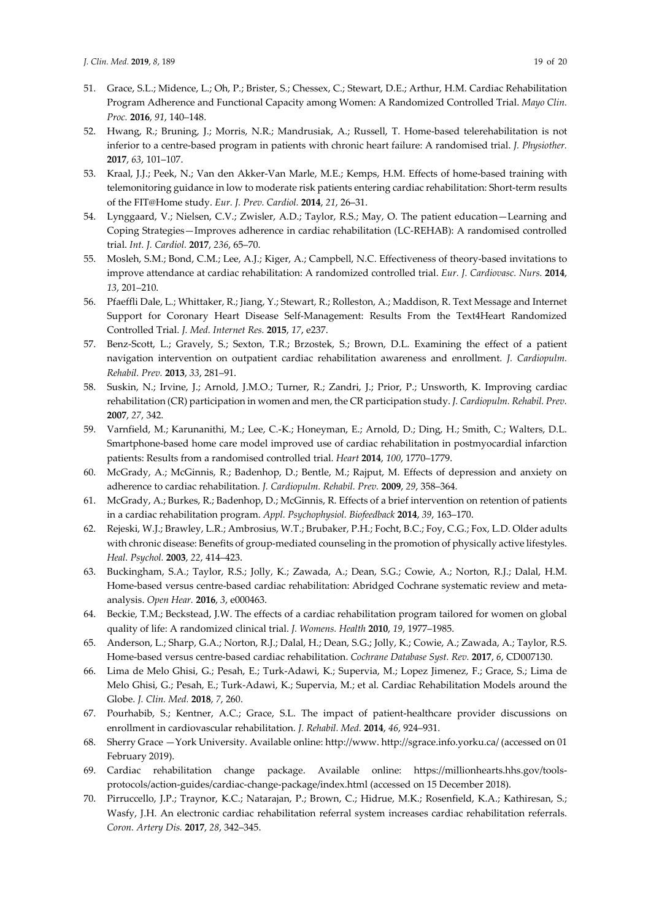- 51. Grace, S.L.; Midence, L.; Oh, P.; Brister, S.; Chessex, C.; Stewart, D.E.; Arthur, H.M. Cardiac Rehabilitation Program Adherence and Functional Capacity among Women: A Randomized Controlled Trial. *Mayo Clin. Proc.* **2016**, *91*, 140–148.
- 52. Hwang, R.; Bruning, J.; Morris, N.R.; Mandrusiak, A.; Russell, T. Home-based telerehabilitation is not inferior to a centre-based program in patients with chronic heart failure: A randomised trial. *J. Physiother.* **2017**, *63*, 101–107.
- 53. Kraal, J.J.; Peek, N.; Van den Akker-Van Marle, M.E.; Kemps, H.M. Effects of home-based training with telemonitoring guidance in low to moderate risk patients entering cardiac rehabilitation: Short-term results of the FIT@Home study. *Eur. J. Prev. Cardiol.* **2014**, *21*, 26–31.
- 54. Lynggaard, V.; Nielsen, C.V.; Zwisler, A.D.; Taylor, R.S.; May, O. The patient education—Learning and Coping Strategies—Improves adherence in cardiac rehabilitation (LC-REHAB): A randomised controlled trial. *Int. J. Cardiol.* **2017**, *236*, 65–70.
- 55. Mosleh, S.M.; Bond, C.M.; Lee, A.J.; Kiger, A.; Campbell, N.C. Effectiveness of theory-based invitations to improve attendance at cardiac rehabilitation: A randomized controlled trial. *Eur. J. Cardiovasc. Nurs.* **2014**, *13*, 201–210.
- 56. Pfaeffli Dale, L.; Whittaker, R.; Jiang, Y.; Stewart, R.; Rolleston, A.; Maddison, R. Text Message and Internet Support for Coronary Heart Disease Self-Management: Results From the Text4Heart Randomized Controlled Trial. *J. Med. Internet Res.* **2015**, *17*, e237.
- 57. Benz-Scott, L.; Gravely, S.; Sexton, T.R.; Brzostek, S.; Brown, D.L. Examining the effect of a patient navigation intervention on outpatient cardiac rehabilitation awareness and enrollment. *J. Cardiopulm. Rehabil. Prev.* **2013**, *33*, 281–91.
- 58. Suskin, N.; Irvine, J.; Arnold, J.M.O.; Turner, R.; Zandri, J.; Prior, P.; Unsworth, K. Improving cardiac rehabilitation (CR) participation in women and men, the CR participation study. *J. Cardiopulm. Rehabil. Prev.* **2007**, *27*, 342.
- 59. Varnfield, M.; Karunanithi, M.; Lee, C.-K.; Honeyman, E.; Arnold, D.; Ding, H.; Smith, C.; Walters, D.L. Smartphone-based home care model improved use of cardiac rehabilitation in postmyocardial infarction patients: Results from a randomised controlled trial. *Heart* **2014**, *100*, 1770–1779.
- 60. McGrady, A.; McGinnis, R.; Badenhop, D.; Bentle, M.; Rajput, M. Effects of depression and anxiety on adherence to cardiac rehabilitation. *J. Cardiopulm. Rehabil. Prev.* **2009**, *29*, 358–364.
- 61. McGrady, A.; Burkes, R.; Badenhop, D.; McGinnis, R. Effects of a brief intervention on retention of patients in a cardiac rehabilitation program. *Appl. Psychophysiol. Biofeedback* **2014**, *39*, 163–170.
- 62. Rejeski, W.J.; Brawley, L.R.; Ambrosius, W.T.; Brubaker, P.H.; Focht, B.C.; Foy, C.G.; Fox, L.D. Older adults with chronic disease: Benefits of group-mediated counseling in the promotion of physically active lifestyles. *Heal. Psychol.* **2003**, *22*, 414–423.
- 63. Buckingham, S.A.; Taylor, R.S.; Jolly, K.; Zawada, A.; Dean, S.G.; Cowie, A.; Norton, R.J.; Dalal, H.M. Home-based versus centre-based cardiac rehabilitation: Abridged Cochrane systematic review and metaanalysis. *Open Hear.* **2016**, *3*, e000463.
- 64. Beckie, T.M.; Beckstead, J.W. The effects of a cardiac rehabilitation program tailored for women on global quality of life: A randomized clinical trial. *J. Womens. Health* **2010**, *19*, 1977–1985.
- 65. Anderson, L.; Sharp, G.A.; Norton, R.J.; Dalal, H.; Dean, S.G.; Jolly, K.; Cowie, A.; Zawada, A.; Taylor, R.S. Home-based versus centre-based cardiac rehabilitation. *Cochrane Database Syst. Rev.* **2017**, *6*, CD007130.
- 66. Lima de Melo Ghisi, G.; Pesah, E.; Turk-Adawi, K.; Supervia, M.; Lopez Jimenez, F.; Grace, S.; Lima de Melo Ghisi, G.; Pesah, E.; Turk-Adawi, K.; Supervia, M.; et al. Cardiac Rehabilitation Models around the Globe. *J. Clin. Med.* **2018**, *7*, 260.
- 67. Pourhabib, S.; Kentner, A.C.; Grace, S.L. The impact of patient-healthcare provider discussions on enrollment in cardiovascular rehabilitation. *J. Rehabil. Med.* **2014**, *46*, 924–931.
- 68. Sherry Grace —York University. Available online: http://www. http://sgrace.info.yorku.ca/ (accessed on 01 February 2019).
- 69. Cardiac rehabilitation change package. Available online: https://millionhearts.hhs.gov/toolsprotocols/action-guides/cardiac-change-package/index.html (accessed on 15 December 2018).
- 70. Pirruccello, J.P.; Traynor, K.C.; Natarajan, P.; Brown, C.; Hidrue, M.K.; Rosenfield, K.A.; Kathiresan, S.; Wasfy, J.H. An electronic cardiac rehabilitation referral system increases cardiac rehabilitation referrals. *Coron. Artery Dis.* **2017**, *28*, 342–345.